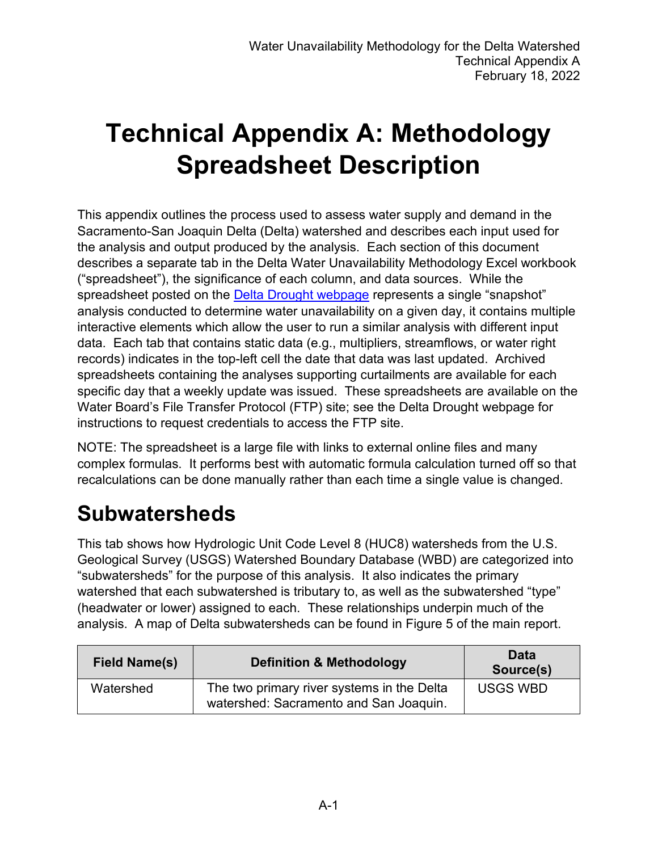# **Technical Appendix A: Methodology Spreadsheet Description**

This appendix outlines the process used to assess water supply and demand in the Sacramento-San Joaquin Delta (Delta) watershed and describes each input used for the analysis and output produced by the analysis. Each section of this document describes a separate tab in the Delta Water Unavailability Methodology Excel workbook ("spreadsheet"), the significance of each column, and data sources. While the spreadsheet posted on the **[Delta Drought webpage](https://www.waterboards.ca.gov/drought/delta/)** represents a single "snapshot" analysis conducted to determine water unavailability on a given day, it contains multiple interactive elements which allow the user to run a similar analysis with different input data. Each tab that contains static data (e.g., multipliers, streamflows, or water right records) indicates in the top-left cell the date that data was last updated. Archived spreadsheets containing the analyses supporting curtailments are available for each specific day that a weekly update was issued. These spreadsheets are available on the Water Board's File Transfer Protocol (FTP) site; see the Delta Drought webpage for instructions to request credentials to access the FTP site.

NOTE: The spreadsheet is a large file with links to external online files and many complex formulas. It performs best with automatic formula calculation turned off so that recalculations can be done manually rather than each time a single value is changed.

#### **Subwatersheds**

This tab shows how Hydrologic Unit Code Level 8 (HUC8) watersheds from the U.S. Geological Survey (USGS) Watershed Boundary Database (WBD) are categorized into "subwatersheds" for the purpose of this analysis. It also indicates the primary watershed that each subwatershed is tributary to, as well as the subwatershed "type" (headwater or lower) assigned to each. These relationships underpin much of the analysis. A map of Delta subwatersheds can be found in Figure 5 of the main report.

| <b>Field Name(s)</b> | Definition & Methodology                                                             | Data<br>Source(s) |
|----------------------|--------------------------------------------------------------------------------------|-------------------|
| Watershed            | The two primary river systems in the Delta<br>watershed: Sacramento and San Joaquin. | <b>USGS WBD</b>   |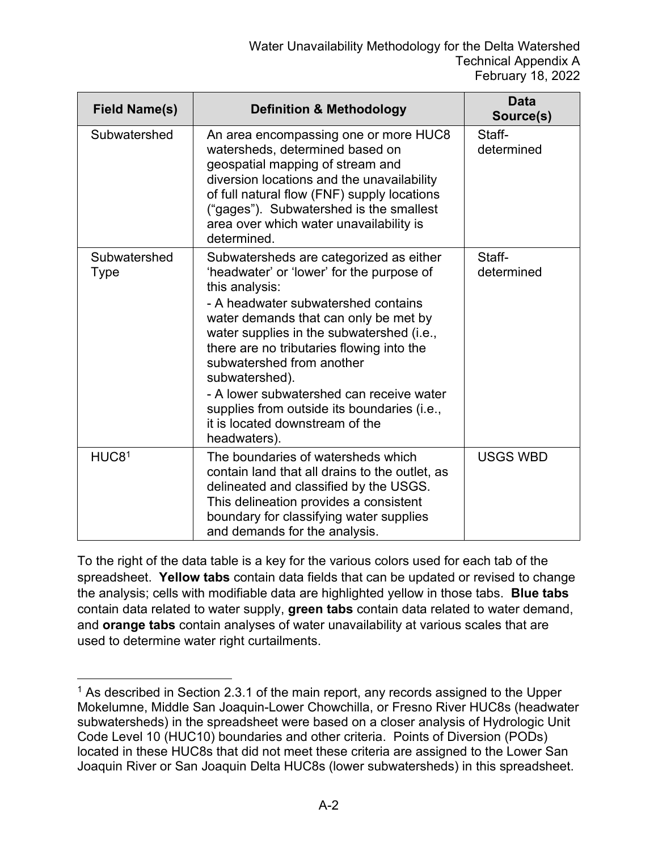| <b>Field Name(s)</b>        | <b>Definition &amp; Methodology</b>                                                                                                                                                                                                                                                                                                                                                                                                                                           | <b>Data</b><br>Source(s) |
|-----------------------------|-------------------------------------------------------------------------------------------------------------------------------------------------------------------------------------------------------------------------------------------------------------------------------------------------------------------------------------------------------------------------------------------------------------------------------------------------------------------------------|--------------------------|
| Subwatershed                | An area encompassing one or more HUC8<br>watersheds, determined based on<br>geospatial mapping of stream and<br>diversion locations and the unavailability<br>of full natural flow (FNF) supply locations<br>("gages"). Subwatershed is the smallest<br>area over which water unavailability is<br>determined.                                                                                                                                                                | Staff-<br>determined     |
| Subwatershed<br><b>Type</b> | Subwatersheds are categorized as either<br>'headwater' or 'lower' for the purpose of<br>this analysis:<br>- A headwater subwatershed contains<br>water demands that can only be met by<br>water supplies in the subwatershed (i.e.,<br>there are no tributaries flowing into the<br>subwatershed from another<br>subwatershed).<br>- A lower subwatershed can receive water<br>supplies from outside its boundaries (i.e.,<br>it is located downstream of the<br>headwaters). | Staff-<br>determined     |
| HUC8 <sup>1</sup>           | The boundaries of watersheds which<br>contain land that all drains to the outlet, as<br>delineated and classified by the USGS.<br>This delineation provides a consistent<br>boundary for classifying water supplies<br>and demands for the analysis.                                                                                                                                                                                                                          | <b>USGS WBD</b>          |

To the right of the data table is a key for the various colors used for each tab of the spreadsheet. **Yellow tabs** contain data fields that can be updated or revised to change the analysis; cells with modifiable data are highlighted yellow in those tabs. **Blue tabs** contain data related to water supply, **green tabs** contain data related to water demand, and **orange tabs** contain analyses of water unavailability at various scales that are used to determine water right curtailments.

<span id="page-1-0"></span><sup>&</sup>lt;sup>1</sup> As described in Section 2.3.1 of the main report, any records assigned to the Upper Mokelumne, Middle San Joaquin-Lower Chowchilla, or Fresno River HUC8s (headwater subwatersheds) in the spreadsheet were based on a closer analysis of Hydrologic Unit Code Level 10 (HUC10) boundaries and other criteria. Points of Diversion (PODs) located in these HUC8s that did not meet these criteria are assigned to the Lower San Joaquin River or San Joaquin Delta HUC8s (lower subwatersheds) in this spreadsheet.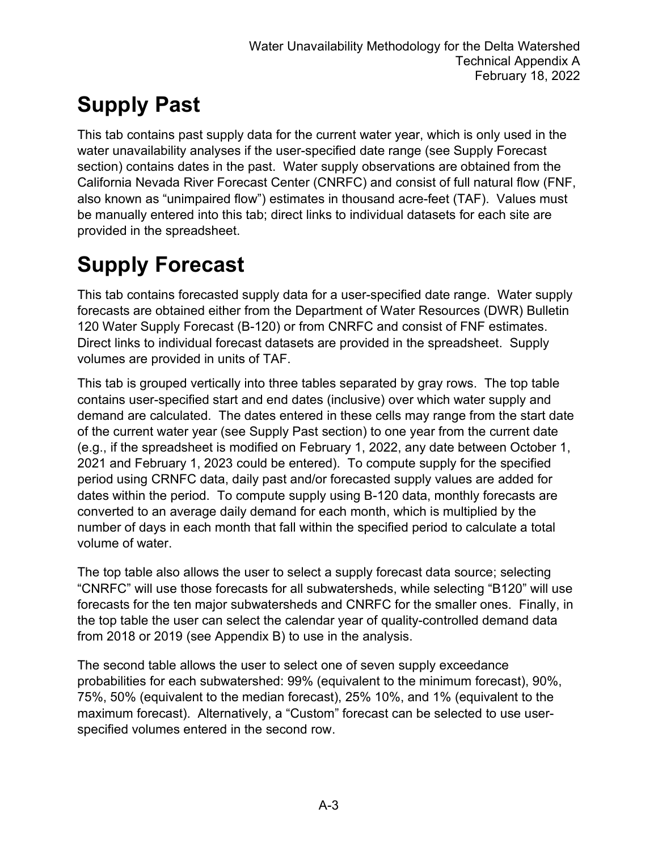# **Supply Past**

This tab contains past supply data for the current water year, which is only used in the water unavailability analyses if the user-specified date range (see Supply Forecast section) contains dates in the past. Water supply observations are obtained from the California Nevada River Forecast Center (CNRFC) and consist of full natural flow (FNF, also known as "unimpaired flow") estimates in thousand acre-feet (TAF). Values must be manually entered into this tab; direct links to individual datasets for each site are provided in the spreadsheet.

## **Supply Forecast**

This tab contains forecasted supply data for a user-specified date range. Water supply forecasts are obtained either from the Department of Water Resources (DWR) Bulletin 120 Water Supply Forecast (B-120) or from CNRFC and consist of FNF estimates. Direct links to individual forecast datasets are provided in the spreadsheet. Supply volumes are provided in units of TAF.

This tab is grouped vertically into three tables separated by gray rows. The top table contains user-specified start and end dates (inclusive) over which water supply and demand are calculated. The dates entered in these cells may range from the start date of the current water year (see Supply Past section) to one year from the current date (e.g., if the spreadsheet is modified on February 1, 2022, any date between October 1, 2021 and February 1, 2023 could be entered). To compute supply for the specified period using CRNFC data, daily past and/or forecasted supply values are added for dates within the period. To compute supply using B-120 data, monthly forecasts are converted to an average daily demand for each month, which is multiplied by the number of days in each month that fall within the specified period to calculate a total volume of water.

The top table also allows the user to select a supply forecast data source; selecting "CNRFC" will use those forecasts for all subwatersheds, while selecting "B120" will use forecasts for the ten major subwatersheds and CNRFC for the smaller ones. Finally, in the top table the user can select the calendar year of quality-controlled demand data from 2018 or 2019 (see Appendix B) to use in the analysis.

The second table allows the user to select one of seven supply exceedance probabilities for each subwatershed: 99% (equivalent to the minimum forecast), 90%, 75%, 50% (equivalent to the median forecast), 25% 10%, and 1% (equivalent to the maximum forecast). Alternatively, a "Custom" forecast can be selected to use userspecified volumes entered in the second row.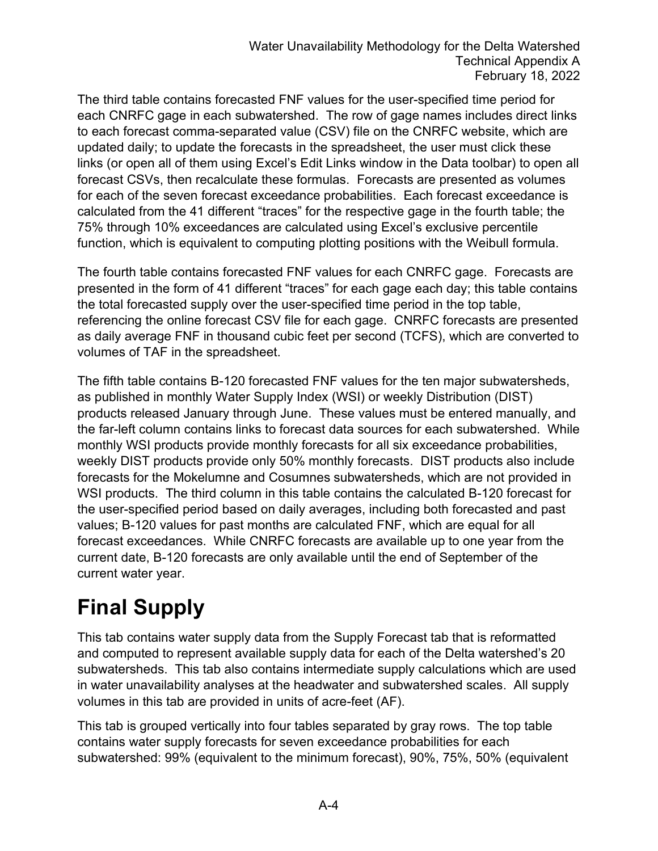The third table contains forecasted FNF values for the user-specified time period for each CNRFC gage in each subwatershed. The row of gage names includes direct links to each forecast comma-separated value (CSV) file on the CNRFC website, which are updated daily; to update the forecasts in the spreadsheet, the user must click these links (or open all of them using Excel's Edit Links window in the Data toolbar) to open all forecast CSVs, then recalculate these formulas. Forecasts are presented as volumes for each of the seven forecast exceedance probabilities. Each forecast exceedance is calculated from the 41 different "traces" for the respective gage in the fourth table; the 75% through 10% exceedances are calculated using Excel's exclusive percentile function, which is equivalent to computing plotting positions with the Weibull formula.

The fourth table contains forecasted FNF values for each CNRFC gage. Forecasts are presented in the form of 41 different "traces" for each gage each day; this table contains the total forecasted supply over the user-specified time period in the top table, referencing the online forecast CSV file for each gage. CNRFC forecasts are presented as daily average FNF in thousand cubic feet per second (TCFS), which are converted to volumes of TAF in the spreadsheet.

The fifth table contains B-120 forecasted FNF values for the ten major subwatersheds, as published in monthly Water Supply Index (WSI) or weekly Distribution (DIST) products released January through June. These values must be entered manually, and the far-left column contains links to forecast data sources for each subwatershed. While monthly WSI products provide monthly forecasts for all six exceedance probabilities, weekly DIST products provide only 50% monthly forecasts. DIST products also include forecasts for the Mokelumne and Cosumnes subwatersheds, which are not provided in WSI products. The third column in this table contains the calculated B-120 forecast for the user-specified period based on daily averages, including both forecasted and past values; B-120 values for past months are calculated FNF, which are equal for all forecast exceedances. While CNRFC forecasts are available up to one year from the current date, B-120 forecasts are only available until the end of September of the current water year.

## **Final Supply**

This tab contains water supply data from the Supply Forecast tab that is reformatted and computed to represent available supply data for each of the Delta watershed's 20 subwatersheds. This tab also contains intermediate supply calculations which are used in water unavailability analyses at the headwater and subwatershed scales. All supply volumes in this tab are provided in units of acre-feet (AF).

This tab is grouped vertically into four tables separated by gray rows. The top table contains water supply forecasts for seven exceedance probabilities for each subwatershed: 99% (equivalent to the minimum forecast), 90%, 75%, 50% (equivalent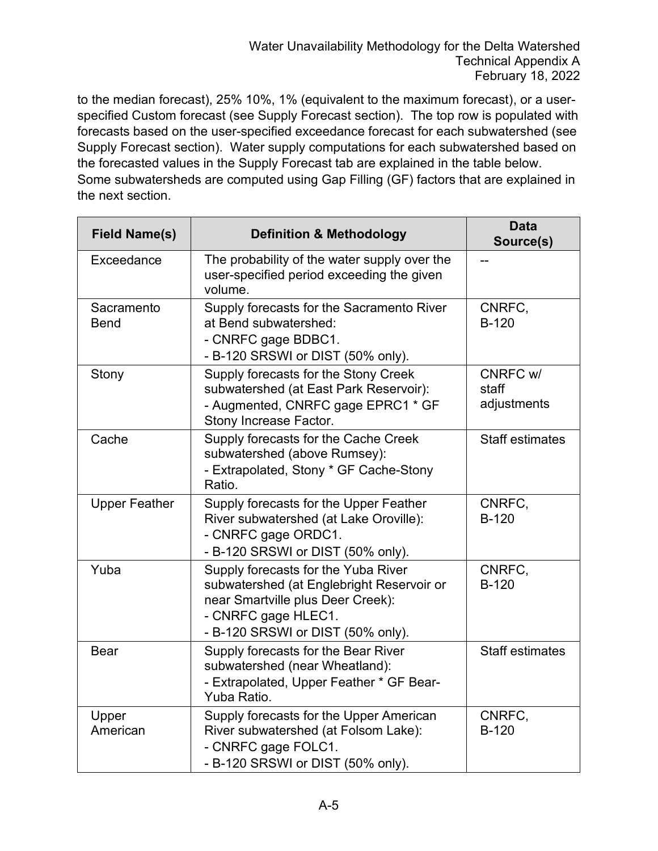to the median forecast), 25% 10%, 1% (equivalent to the maximum forecast), or a userspecified Custom forecast (see Supply Forecast section). The top row is populated with forecasts based on the user-specified exceedance forecast for each subwatershed (see Supply Forecast section). Water supply computations for each subwatershed based on the forecasted values in the Supply Forecast tab are explained in the table below. Some subwatersheds are computed using Gap Filling (GF) factors that are explained in the next section.

| <b>Field Name(s)</b>      | <b>Definition &amp; Methodology</b>                                                                                                                                               | <b>Data</b><br>Source(s)         |
|---------------------------|-----------------------------------------------------------------------------------------------------------------------------------------------------------------------------------|----------------------------------|
| Exceedance                | The probability of the water supply over the<br>user-specified period exceeding the given<br>volume.                                                                              |                                  |
| Sacramento<br><b>Bend</b> | Supply forecasts for the Sacramento River<br>at Bend subwatershed:<br>- CNRFC gage BDBC1.<br>- B-120 SRSWI or DIST (50% only).                                                    | CNRFC,<br><b>B-120</b>           |
| Stony                     | Supply forecasts for the Stony Creek<br>subwatershed (at East Park Reservoir):<br>- Augmented, CNRFC gage EPRC1 * GF<br>Stony Increase Factor.                                    | CNRFC w/<br>staff<br>adjustments |
| Cache                     | Supply forecasts for the Cache Creek<br>subwatershed (above Rumsey):<br>- Extrapolated, Stony * GF Cache-Stony<br>Ratio.                                                          | <b>Staff estimates</b>           |
| <b>Upper Feather</b>      | Supply forecasts for the Upper Feather<br>River subwatershed (at Lake Oroville):<br>- CNRFC gage ORDC1.<br>- B-120 SRSWI or DIST (50% only).                                      | CNRFC,<br><b>B-120</b>           |
| Yuba                      | Supply forecasts for the Yuba River<br>subwatershed (at Englebright Reservoir or<br>near Smartville plus Deer Creek):<br>- CNRFC gage HLEC1.<br>- B-120 SRSWI or DIST (50% only). | CNRFC,<br><b>B-120</b>           |
| <b>Bear</b>               | Supply forecasts for the Bear River<br>subwatershed (near Wheatland):<br>- Extrapolated, Upper Feather * GF Bear-<br>Yuba Ratio.                                                  | <b>Staff estimates</b>           |
| Upper<br>American         | Supply forecasts for the Upper American<br>River subwatershed (at Folsom Lake):<br>- CNRFC gage FOLC1.<br>- B-120 SRSWI or DIST (50% only).                                       | CNRFC,<br><b>B-120</b>           |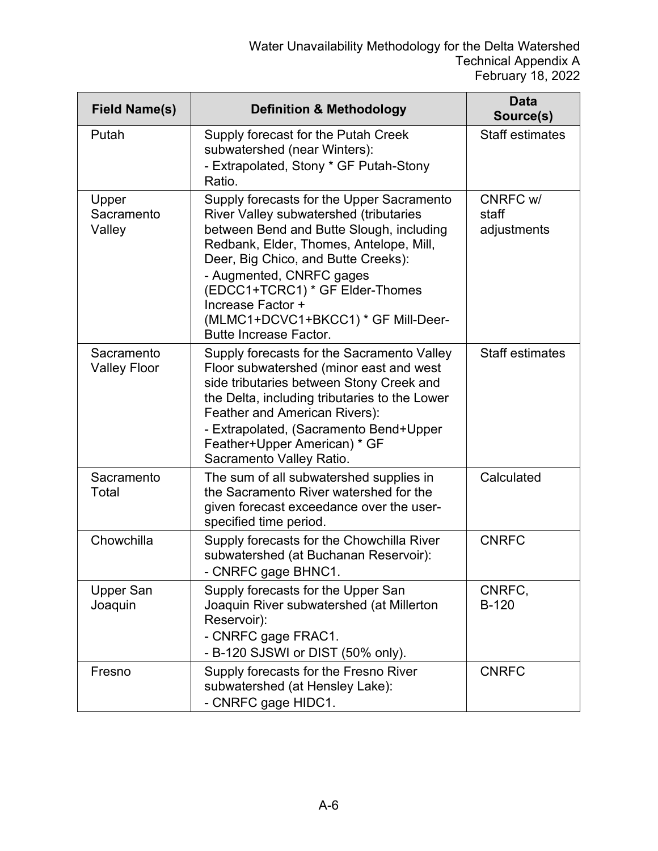| <b>Field Name(s)</b>              | <b>Definition &amp; Methodology</b>                                                                                                                                                                                                                                                                                                                                           | Data<br>Source(s)                |
|-----------------------------------|-------------------------------------------------------------------------------------------------------------------------------------------------------------------------------------------------------------------------------------------------------------------------------------------------------------------------------------------------------------------------------|----------------------------------|
| Putah                             | Supply forecast for the Putah Creek<br>subwatershed (near Winters):<br>- Extrapolated, Stony * GF Putah-Stony<br>Ratio.                                                                                                                                                                                                                                                       | <b>Staff estimates</b>           |
| Upper<br>Sacramento<br>Valley     | Supply forecasts for the Upper Sacramento<br>River Valley subwatershed (tributaries<br>between Bend and Butte Slough, including<br>Redbank, Elder, Thomes, Antelope, Mill,<br>Deer, Big Chico, and Butte Creeks):<br>- Augmented, CNRFC gages<br>(EDCC1+TCRC1) * GF Elder-Thomes<br>Increase Factor +<br>(MLMC1+DCVC1+BKCC1) * GF Mill-Deer-<br><b>Butte Increase Factor.</b> | CNRFC w/<br>staff<br>adjustments |
| Sacramento<br><b>Valley Floor</b> | Supply forecasts for the Sacramento Valley<br>Floor subwatershed (minor east and west<br>side tributaries between Stony Creek and<br>the Delta, including tributaries to the Lower<br>Feather and American Rivers):<br>- Extrapolated, (Sacramento Bend+Upper<br>Feather+Upper American) * GF<br>Sacramento Valley Ratio.                                                     | <b>Staff estimates</b>           |
| Sacramento<br>Total               | The sum of all subwatershed supplies in<br>the Sacramento River watershed for the<br>given forecast exceedance over the user-<br>specified time period.                                                                                                                                                                                                                       | Calculated                       |
| Chowchilla                        | Supply forecasts for the Chowchilla River<br>subwatershed (at Buchanan Reservoir):<br>- CNRFC gage BHNC1                                                                                                                                                                                                                                                                      | <b>CNRFC</b>                     |
| Upper San<br>Joaquin              | Supply forecasts for the Upper San<br>Joaquin River subwatershed (at Millerton<br>Reservoir):<br>- CNRFC gage FRAC1.<br>- B-120 SJSWI or DIST (50% only).                                                                                                                                                                                                                     | CNRFC,<br><b>B-120</b>           |
| Fresno                            | Supply forecasts for the Fresno River<br>subwatershed (at Hensley Lake):<br>- CNRFC gage HIDC1.                                                                                                                                                                                                                                                                               | <b>CNRFC</b>                     |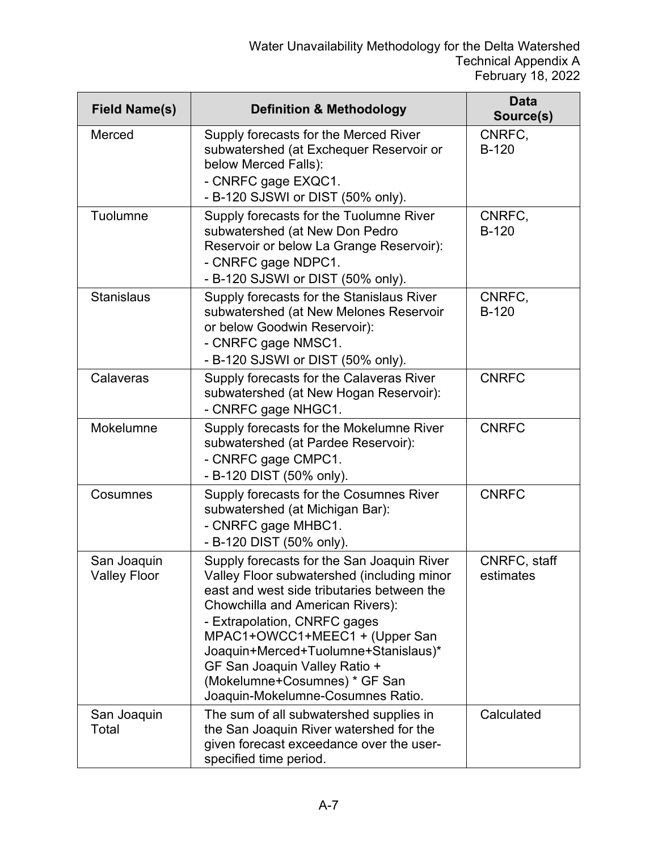| <b>Field Name(s)</b>               | <b>Definition &amp; Methodology</b>                                                                                                                                                                                                                                                                                                                                                         | <b>Data</b><br>Source(s)  |
|------------------------------------|---------------------------------------------------------------------------------------------------------------------------------------------------------------------------------------------------------------------------------------------------------------------------------------------------------------------------------------------------------------------------------------------|---------------------------|
| Merced                             | Supply forecasts for the Merced River<br>subwatershed (at Exchequer Reservoir or<br>below Merced Falls):<br>- CNRFC gage EXQC1.<br>- B-120 SJSWI or DIST (50% only).                                                                                                                                                                                                                        | CNRFC,<br>$B-120$         |
| Tuolumne                           | Supply forecasts for the Tuolumne River<br>subwatershed (at New Don Pedro<br>Reservoir or below La Grange Reservoir):<br>- CNRFC gage NDPC1.<br>- B-120 SJSWI or DIST (50% only).                                                                                                                                                                                                           | CNRFC,<br><b>B-120</b>    |
| <b>Stanislaus</b>                  | Supply forecasts for the Stanislaus River<br>subwatershed (at New Melones Reservoir<br>or below Goodwin Reservoir):<br>- CNRFC gage NMSC1.<br>- B-120 SJSWI or DIST (50% only).                                                                                                                                                                                                             | CNRFC,<br>$B-120$         |
| Calaveras                          | Supply forecasts for the Calaveras River<br>subwatershed (at New Hogan Reservoir):<br>- CNRFC gage NHGC1.                                                                                                                                                                                                                                                                                   | <b>CNRFC</b>              |
| Mokelumne                          | Supply forecasts for the Mokelumne River<br>subwatershed (at Pardee Reservoir):<br>- CNRFC gage CMPC1.<br>- B-120 DIST (50% only).                                                                                                                                                                                                                                                          | <b>CNRFC</b>              |
| Cosumnes                           | Supply forecasts for the Cosumnes River<br>subwatershed (at Michigan Bar):<br>- CNRFC gage MHBC1.<br>- B-120 DIST (50% only).                                                                                                                                                                                                                                                               | <b>CNRFC</b>              |
| San Joaquin<br><b>Valley Floor</b> | Supply forecasts for the San Joaquin River<br>Valley Floor subwatershed (including minor<br>east and west side tributaries between the<br>Chowchilla and American Rivers):<br>- Extrapolation, CNRFC gages<br>MPAC1+OWCC1+MEEC1 + (Upper San<br>Joaquin+Merced+Tuolumne+Stanislaus)*<br>GF San Joaquin Valley Ratio +<br>(Mokelumne+Cosumnes) * GF San<br>Joaquin-Mokelumne-Cosumnes Ratio. | CNRFC, staff<br>estimates |
| San Joaquin<br>Total               | The sum of all subwatershed supplies in<br>the San Joaquin River watershed for the<br>given forecast exceedance over the user-<br>specified time period.                                                                                                                                                                                                                                    | Calculated                |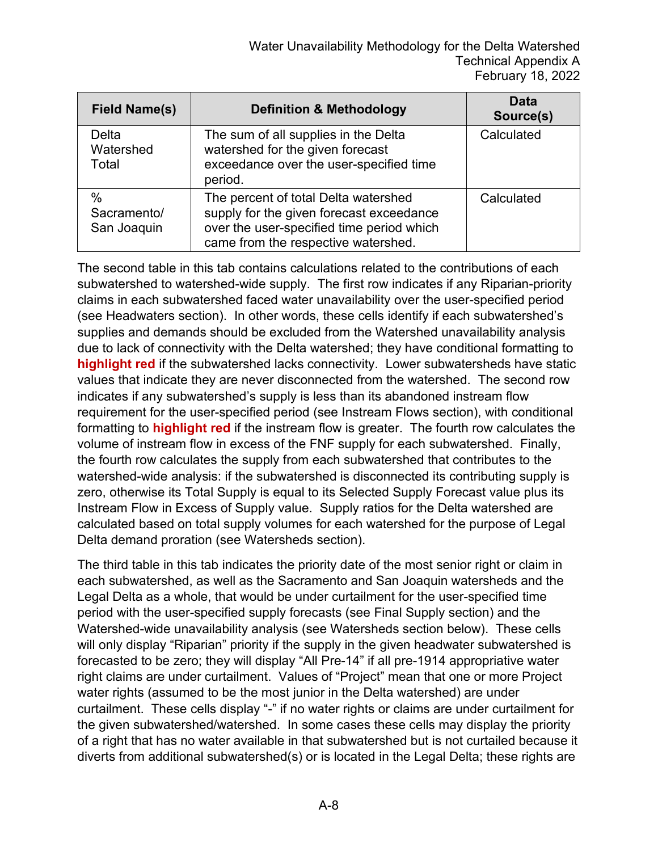| <b>Field Name(s)</b>               | <b>Definition &amp; Methodology</b>                                                                                                                                  | Data<br>Source(s) |
|------------------------------------|----------------------------------------------------------------------------------------------------------------------------------------------------------------------|-------------------|
| Delta<br>Watershed<br>Total        | The sum of all supplies in the Delta<br>watershed for the given forecast<br>exceedance over the user-specified time<br>period.                                       | Calculated        |
| $\%$<br>Sacramento/<br>San Joaquin | The percent of total Delta watershed<br>supply for the given forecast exceedance<br>over the user-specified time period which<br>came from the respective watershed. | Calculated        |

The second table in this tab contains calculations related to the contributions of each subwatershed to watershed-wide supply. The first row indicates if any Riparian-priority claims in each subwatershed faced water unavailability over the user-specified period (see Headwaters section). In other words, these cells identify if each subwatershed's supplies and demands should be excluded from the Watershed unavailability analysis due to lack of connectivity with the Delta watershed; they have conditional formatting to **highlight red** if the subwatershed lacks connectivity. Lower subwatersheds have static values that indicate they are never disconnected from the watershed. The second row indicates if any subwatershed's supply is less than its abandoned instream flow requirement for the user-specified period (see Instream Flows section), with conditional formatting to **highlight red** if the instream flow is greater. The fourth row calculates the volume of instream flow in excess of the FNF supply for each subwatershed. Finally, the fourth row calculates the supply from each subwatershed that contributes to the watershed-wide analysis: if the subwatershed is disconnected its contributing supply is zero, otherwise its Total Supply is equal to its Selected Supply Forecast value plus its Instream Flow in Excess of Supply value. Supply ratios for the Delta watershed are calculated based on total supply volumes for each watershed for the purpose of Legal Delta demand proration (see Watersheds section).

The third table in this tab indicates the priority date of the most senior right or claim in each subwatershed, as well as the Sacramento and San Joaquin watersheds and the Legal Delta as a whole, that would be under curtailment for the user-specified time period with the user-specified supply forecasts (see Final Supply section) and the Watershed-wide unavailability analysis (see Watersheds section below). These cells will only display "Riparian" priority if the supply in the given headwater subwatershed is forecasted to be zero; they will display "All Pre-14" if all pre-1914 appropriative water right claims are under curtailment. Values of "Project" mean that one or more Project water rights (assumed to be the most junior in the Delta watershed) are under curtailment. These cells display "-" if no water rights or claims are under curtailment for the given subwatershed/watershed. In some cases these cells may display the priority of a right that has no water available in that subwatershed but is not curtailed because it diverts from additional subwatershed(s) or is located in the Legal Delta; these rights are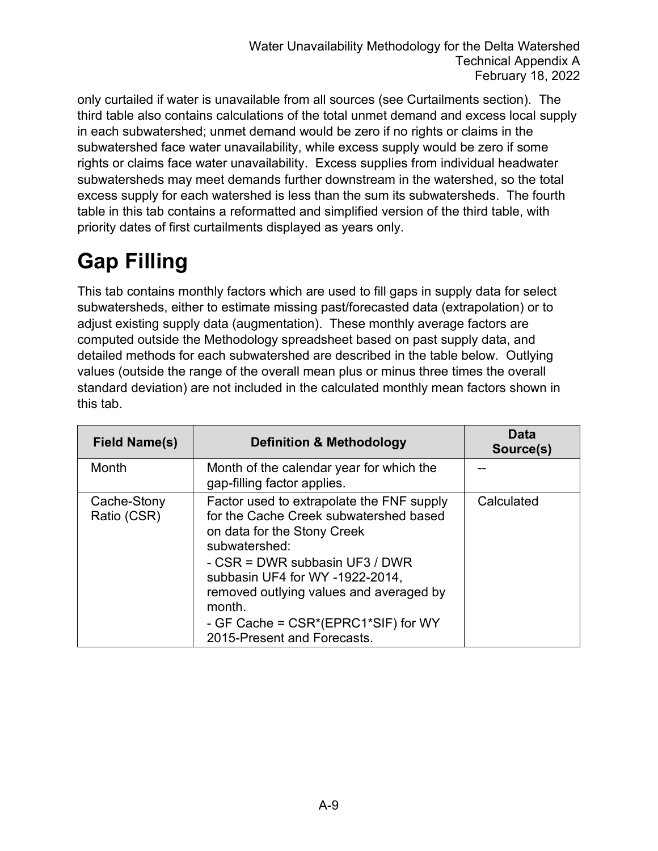only curtailed if water is unavailable from all sources (see Curtailments section). The third table also contains calculations of the total unmet demand and excess local supply in each subwatershed; unmet demand would be zero if no rights or claims in the subwatershed face water unavailability, while excess supply would be zero if some rights or claims face water unavailability. Excess supplies from individual headwater subwatersheds may meet demands further downstream in the watershed, so the total excess supply for each watershed is less than the sum its subwatersheds. The fourth table in this tab contains a reformatted and simplified version of the third table, with priority dates of first curtailments displayed as years only.

## **Gap Filling**

This tab contains monthly factors which are used to fill gaps in supply data for select subwatersheds, either to estimate missing past/forecasted data (extrapolation) or to adjust existing supply data (augmentation). These monthly average factors are computed outside the Methodology spreadsheet based on past supply data, and detailed methods for each subwatershed are described in the table below. Outlying values (outside the range of the overall mean plus or minus three times the overall standard deviation) are not included in the calculated monthly mean factors shown in this tab.

| <b>Field Name(s)</b>       | <b>Definition &amp; Methodology</b>                                                                                                                                                                                                                                                                                                 | Data<br>Source(s) |
|----------------------------|-------------------------------------------------------------------------------------------------------------------------------------------------------------------------------------------------------------------------------------------------------------------------------------------------------------------------------------|-------------------|
| Month                      | Month of the calendar year for which the<br>gap-filling factor applies.                                                                                                                                                                                                                                                             |                   |
| Cache-Stony<br>Ratio (CSR) | Factor used to extrapolate the FNF supply<br>for the Cache Creek subwatershed based<br>on data for the Stony Creek<br>subwatershed:<br>- CSR = DWR subbasin UF3 / DWR<br>subbasin UF4 for WY -1922-2014,<br>removed outlying values and averaged by<br>month.<br>- GF Cache = CSR*(EPRC1*SIF) for WY<br>2015-Present and Forecasts. | Calculated        |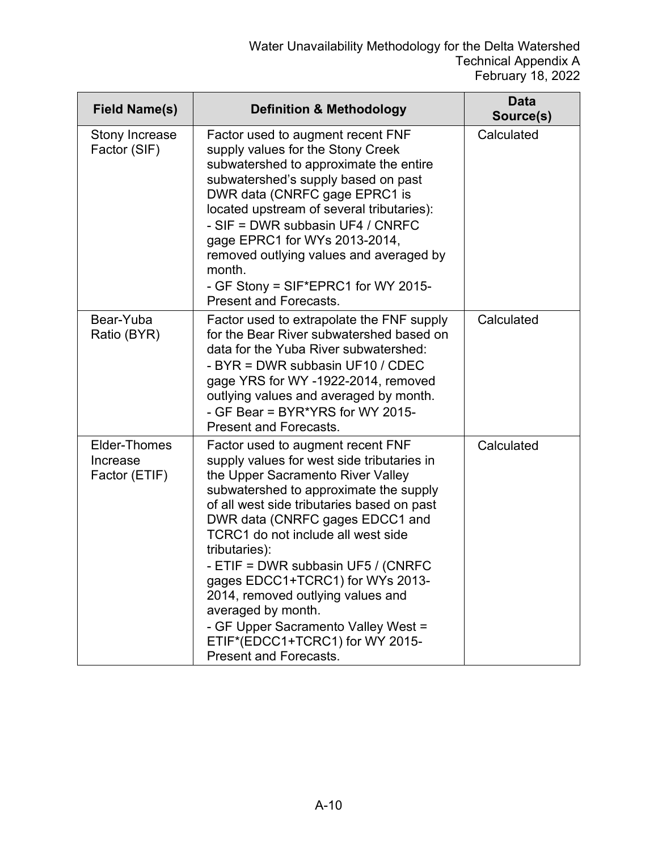| <b>Field Name(s)</b>                      | <b>Definition &amp; Methodology</b>                                                                                                                                                                                                                                                                                                                                                                                                                                                                                                             | <b>Data</b><br>Source(s) |
|-------------------------------------------|-------------------------------------------------------------------------------------------------------------------------------------------------------------------------------------------------------------------------------------------------------------------------------------------------------------------------------------------------------------------------------------------------------------------------------------------------------------------------------------------------------------------------------------------------|--------------------------|
| Stony Increase<br>Factor (SIF)            | Factor used to augment recent FNF<br>supply values for the Stony Creek<br>subwatershed to approximate the entire<br>subwatershed's supply based on past<br>DWR data (CNRFC gage EPRC1 is<br>located upstream of several tributaries):<br>- SIF = DWR subbasin UF4 / CNRFC<br>gage EPRC1 for WYs 2013-2014,<br>removed outlying values and averaged by<br>month.<br>- GF Stony = SIF*EPRC1 for WY 2015-<br><b>Present and Forecasts.</b>                                                                                                         | Calculated               |
| Bear-Yuba<br>Ratio (BYR)                  | Factor used to extrapolate the FNF supply<br>for the Bear River subwatershed based on<br>data for the Yuba River subwatershed:<br>- BYR = DWR subbasin UF10 / CDEC<br>gage YRS for WY -1922-2014, removed<br>outlying values and averaged by month.<br>- GF Bear = BYR*YRS for WY 2015-<br><b>Present and Forecasts.</b>                                                                                                                                                                                                                        | Calculated               |
| Elder-Thomes<br>Increase<br>Factor (ETIF) | Factor used to augment recent FNF<br>supply values for west side tributaries in<br>the Upper Sacramento River Valley<br>subwatershed to approximate the supply<br>of all west side tributaries based on past<br>DWR data (CNRFC gages EDCC1 and<br>TCRC1 do not include all west side<br>tributaries):<br>- ETIF = DWR subbasin UF5 / (CNRFC<br>gages EDCC1+TCRC1) for WYs 2013-<br>2014, removed outlying values and<br>averaged by month.<br>- GF Upper Sacramento Valley West =<br>ETIF*(EDCC1+TCRC1) for WY 2015-<br>Present and Forecasts. | Calculated               |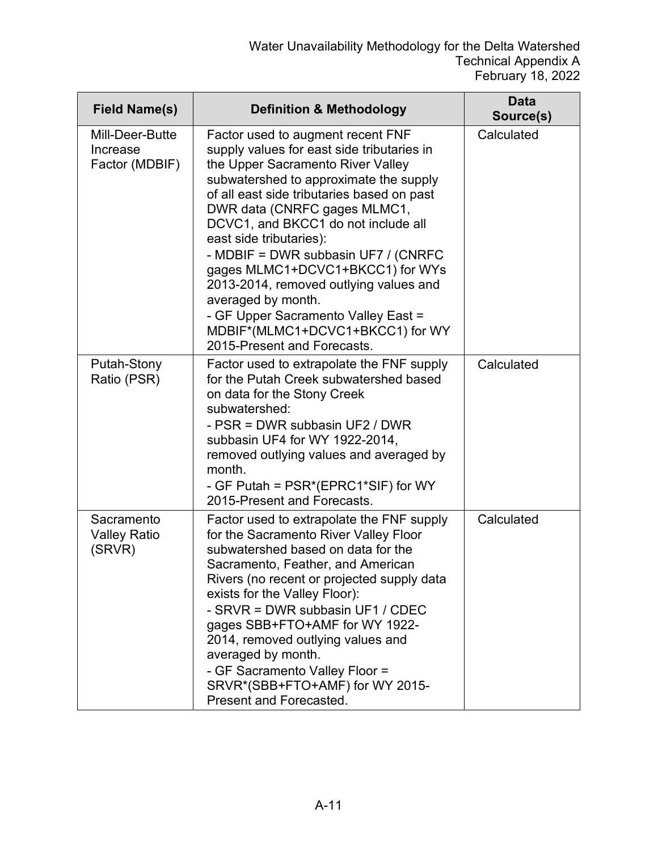| <b>Field Name(s)</b>                          | <b>Definition &amp; Methodology</b>                                                                                                                                                                                                                                                                                                                                                                                                                                                                                                                                 | <b>Data</b><br>Source(s) |
|-----------------------------------------------|---------------------------------------------------------------------------------------------------------------------------------------------------------------------------------------------------------------------------------------------------------------------------------------------------------------------------------------------------------------------------------------------------------------------------------------------------------------------------------------------------------------------------------------------------------------------|--------------------------|
| Mill-Deer-Butte<br>Increase<br>Factor (MDBIF) | Factor used to augment recent FNF<br>supply values for east side tributaries in<br>the Upper Sacramento River Valley<br>subwatershed to approximate the supply<br>of all east side tributaries based on past<br>DWR data (CNRFC gages MLMC1,<br>DCVC1, and BKCC1 do not include all<br>east side tributaries):<br>- MDBIF = DWR subbasin UF7 / (CNRFC<br>gages MLMC1+DCVC1+BKCC1) for WYs<br>2013-2014, removed outlying values and<br>averaged by month.<br>- GF Upper Sacramento Valley East =<br>MDBIF*(MLMC1+DCVC1+BKCC1) for WY<br>2015-Present and Forecasts. | Calculated               |
| Putah-Stony<br>Ratio (PSR)                    | Factor used to extrapolate the FNF supply<br>for the Putah Creek subwatershed based<br>on data for the Stony Creek<br>subwatershed:<br>- PSR = DWR subbasin UF2 / DWR<br>subbasin UF4 for WY 1922-2014,<br>removed outlying values and averaged by<br>month.<br>- GF Putah = PSR*(EPRC1*SIF) for WY<br>2015-Present and Forecasts.                                                                                                                                                                                                                                  | Calculated               |
| Sacramento<br><b>Valley Ratio</b><br>(SRVR)   | Factor used to extrapolate the FNF supply<br>for the Sacramento River Valley Floor<br>subwatershed based on data for the<br>Sacramento, Feather, and American<br>Rivers (no recent or projected supply data<br>exists for the Valley Floor):<br>- SRVR = DWR subbasin UF1 / CDEC<br>gages SBB+FTO+AMF for WY 1922-<br>2014, removed outlying values and<br>averaged by month.<br>- GF Sacramento Valley Floor =<br>SRVR*(SBB+FTO+AMF) for WY 2015-<br>Present and Forecasted.                                                                                       | Calculated               |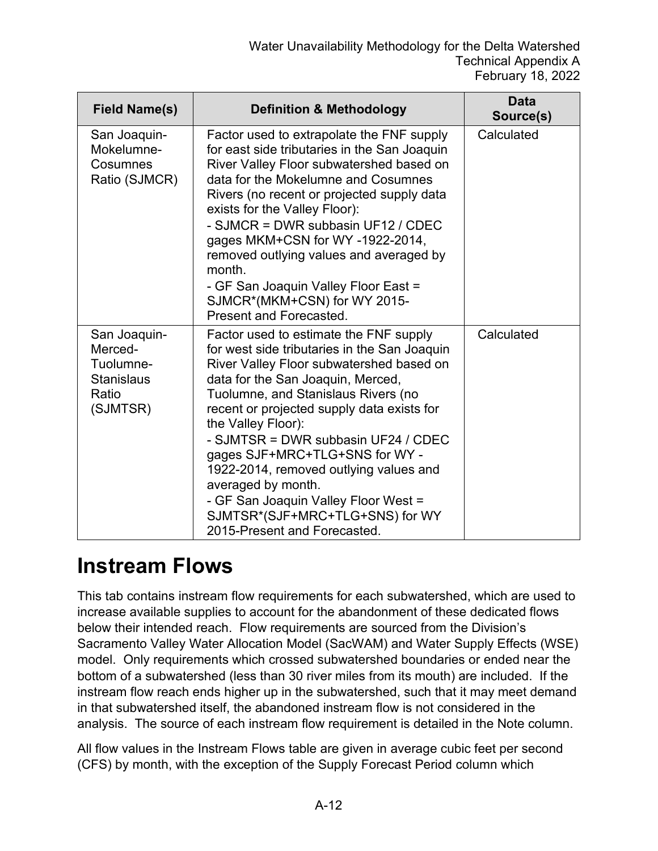| <b>Field Name(s)</b>                                                           | <b>Definition &amp; Methodology</b>                                                                                                                                                                                                                                                                                                                                                                                                                                                                                                    | <b>Data</b><br>Source(s) |
|--------------------------------------------------------------------------------|----------------------------------------------------------------------------------------------------------------------------------------------------------------------------------------------------------------------------------------------------------------------------------------------------------------------------------------------------------------------------------------------------------------------------------------------------------------------------------------------------------------------------------------|--------------------------|
| San Joaquin-<br>Mokelumne-<br>Cosumnes<br>Ratio (SJMCR)                        | Factor used to extrapolate the FNF supply<br>for east side tributaries in the San Joaquin<br>River Valley Floor subwatershed based on<br>data for the Mokelumne and Cosumnes<br>Rivers (no recent or projected supply data<br>exists for the Valley Floor):<br>- SJMCR = DWR subbasin UF12 / CDEC<br>gages MKM+CSN for WY-1922-2014,<br>removed outlying values and averaged by<br>month.<br>- GF San Joaquin Valley Floor East =<br>SJMCR*(MKM+CSN) for WY 2015-                                                                      | Calculated               |
|                                                                                | Present and Forecasted.                                                                                                                                                                                                                                                                                                                                                                                                                                                                                                                |                          |
| San Joaquin-<br>Merced-<br>Tuolumne-<br><b>Stanislaus</b><br>Ratio<br>(SJMTSR) | Factor used to estimate the FNF supply<br>for west side tributaries in the San Joaquin<br>River Valley Floor subwatershed based on<br>data for the San Joaquin, Merced,<br>Tuolumne, and Stanislaus Rivers (no<br>recent or projected supply data exists for<br>the Valley Floor):<br>- SJMTSR = DWR subbasin UF24 / CDEC<br>gages SJF+MRC+TLG+SNS for WY -<br>1922-2014, removed outlying values and<br>averaged by month.<br>- GF San Joaquin Valley Floor West =<br>SJMTSR*(SJF+MRC+TLG+SNS) for WY<br>2015-Present and Forecasted. | Calculated               |

#### **Instream Flows**

This tab contains instream flow requirements for each subwatershed, which are used to increase available supplies to account for the abandonment of these dedicated flows below their intended reach. Flow requirements are sourced from the Division's Sacramento Valley Water Allocation Model (SacWAM) and Water Supply Effects (WSE) model. Only requirements which crossed subwatershed boundaries or ended near the bottom of a subwatershed (less than 30 river miles from its mouth) are included. If the instream flow reach ends higher up in the subwatershed, such that it may meet demand in that subwatershed itself, the abandoned instream flow is not considered in the analysis. The source of each instream flow requirement is detailed in the Note column.

All flow values in the Instream Flows table are given in average cubic feet per second (CFS) by month, with the exception of the Supply Forecast Period column which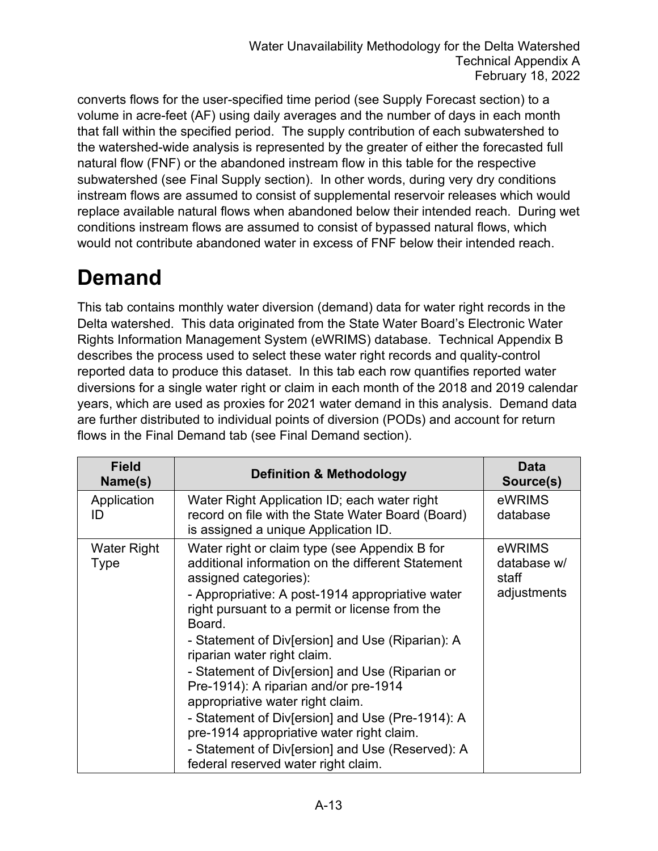converts flows for the user-specified time period (see Supply Forecast section) to a volume in acre-feet (AF) using daily averages and the number of days in each month that fall within the specified period. The supply contribution of each subwatershed to the watershed-wide analysis is represented by the greater of either the forecasted full natural flow (FNF) or the abandoned instream flow in this table for the respective subwatershed (see Final Supply section). In other words, during very dry conditions instream flows are assumed to consist of supplemental reservoir releases which would replace available natural flows when abandoned below their intended reach. During wet conditions instream flows are assumed to consist of bypassed natural flows, which would not contribute abandoned water in excess of FNF below their intended reach.

#### **Demand**

This tab contains monthly water diversion (demand) data for water right records in the Delta watershed. This data originated from the State Water Board's Electronic Water Rights Information Management System (eWRIMS) database. Technical Appendix B describes the process used to select these water right records and quality-control reported data to produce this dataset. In this tab each row quantifies reported water diversions for a single water right or claim in each month of the 2018 and 2019 calendar years, which are used as proxies for 2021 water demand in this analysis. Demand data are further distributed to individual points of diversion (PODs) and account for return flows in the Final Demand tab (see Final Demand section).

| <b>Field</b><br>Name(s)    | <b>Definition &amp; Methodology</b>                                                                                                                                                                                                                                                                                                                                                                                                                                                                                                                                                                                                                        | <b>Data</b><br>Source(s)                      |
|----------------------------|------------------------------------------------------------------------------------------------------------------------------------------------------------------------------------------------------------------------------------------------------------------------------------------------------------------------------------------------------------------------------------------------------------------------------------------------------------------------------------------------------------------------------------------------------------------------------------------------------------------------------------------------------------|-----------------------------------------------|
| Application<br>ID          | Water Right Application ID; each water right<br>record on file with the State Water Board (Board)<br>is assigned a unique Application ID.                                                                                                                                                                                                                                                                                                                                                                                                                                                                                                                  | eWRIMS<br>database                            |
| <b>Water Right</b><br>Type | Water right or claim type (see Appendix B for<br>additional information on the different Statement<br>assigned categories):<br>- Appropriative: A post-1914 appropriative water<br>right pursuant to a permit or license from the<br>Board.<br>- Statement of Div[ersion] and Use (Riparian): A<br>riparian water right claim.<br>- Statement of Div[ersion] and Use (Riparian or<br>Pre-1914): A riparian and/or pre-1914<br>appropriative water right claim.<br>- Statement of Div[ersion] and Use (Pre-1914): A<br>pre-1914 appropriative water right claim.<br>- Statement of Div[ersion] and Use (Reserved): A<br>federal reserved water right claim. | eWRIMS<br>database w/<br>staff<br>adjustments |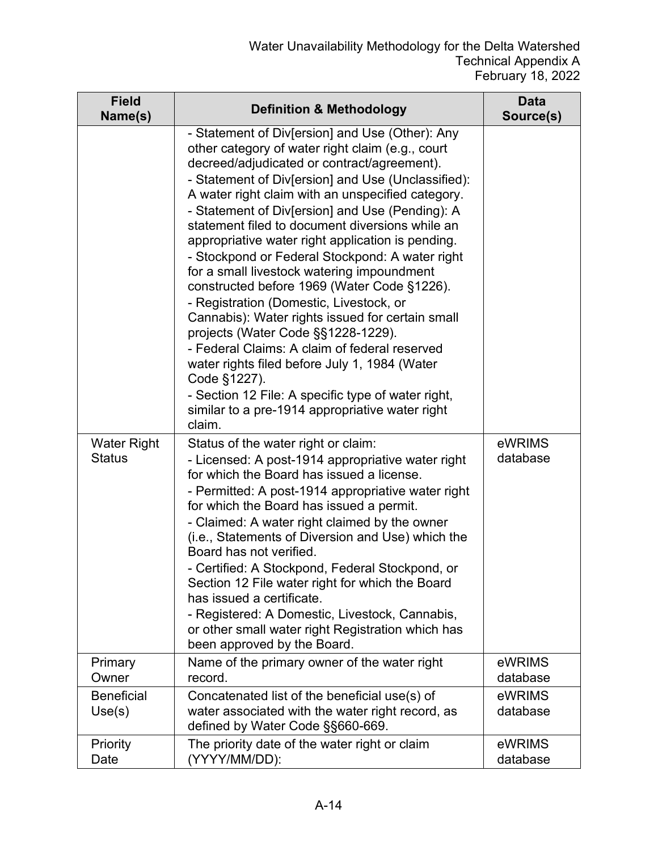| <b>Field</b><br>Name(s)             | <b>Definition &amp; Methodology</b>                                                                                                                                                                                                                                                                                                                                                                                                                                                                                                                                                                                                                                                                                                                                                                                                                                                                                                                | <b>Data</b><br>Source(s) |
|-------------------------------------|----------------------------------------------------------------------------------------------------------------------------------------------------------------------------------------------------------------------------------------------------------------------------------------------------------------------------------------------------------------------------------------------------------------------------------------------------------------------------------------------------------------------------------------------------------------------------------------------------------------------------------------------------------------------------------------------------------------------------------------------------------------------------------------------------------------------------------------------------------------------------------------------------------------------------------------------------|--------------------------|
|                                     | - Statement of Div[ersion] and Use (Other): Any<br>other category of water right claim (e.g., court<br>decreed/adjudicated or contract/agreement).<br>- Statement of Div[ersion] and Use (Unclassified):<br>A water right claim with an unspecified category.<br>- Statement of Div[ersion] and Use (Pending): A<br>statement filed to document diversions while an<br>appropriative water right application is pending.<br>- Stockpond or Federal Stockpond: A water right<br>for a small livestock watering impoundment<br>constructed before 1969 (Water Code §1226).<br>- Registration (Domestic, Livestock, or<br>Cannabis): Water rights issued for certain small<br>projects (Water Code §§1228-1229).<br>- Federal Claims: A claim of federal reserved<br>water rights filed before July 1, 1984 (Water<br>Code §1227).<br>- Section 12 File: A specific type of water right,<br>similar to a pre-1914 appropriative water right<br>claim. |                          |
| <b>Water Right</b><br><b>Status</b> | Status of the water right or claim:<br>- Licensed: A post-1914 appropriative water right<br>for which the Board has issued a license.<br>- Permitted: A post-1914 appropriative water right<br>for which the Board has issued a permit.<br>- Claimed: A water right claimed by the owner<br>(i.e., Statements of Diversion and Use) which the<br>Board has not verified.<br>- Certified: A Stockpond, Federal Stockpond, or<br>Section 12 File water right for which the Board<br>has issued a certificate.<br>- Registered: A Domestic, Livestock, Cannabis,<br>or other small water right Registration which has<br>been approved by the Board.                                                                                                                                                                                                                                                                                                  | eWRIMS<br>database       |
| Primary<br>Owner                    | Name of the primary owner of the water right<br>record.                                                                                                                                                                                                                                                                                                                                                                                                                                                                                                                                                                                                                                                                                                                                                                                                                                                                                            | eWRIMS<br>database       |
| <b>Beneficial</b><br>Use(s)         | Concatenated list of the beneficial use(s) of<br>water associated with the water right record, as<br>defined by Water Code §§660-669.                                                                                                                                                                                                                                                                                                                                                                                                                                                                                                                                                                                                                                                                                                                                                                                                              | eWRIMS<br>database       |
| Priority<br>Date                    | The priority date of the water right or claim<br>(YYYY/MM/DD):                                                                                                                                                                                                                                                                                                                                                                                                                                                                                                                                                                                                                                                                                                                                                                                                                                                                                     | eWRIMS<br>database       |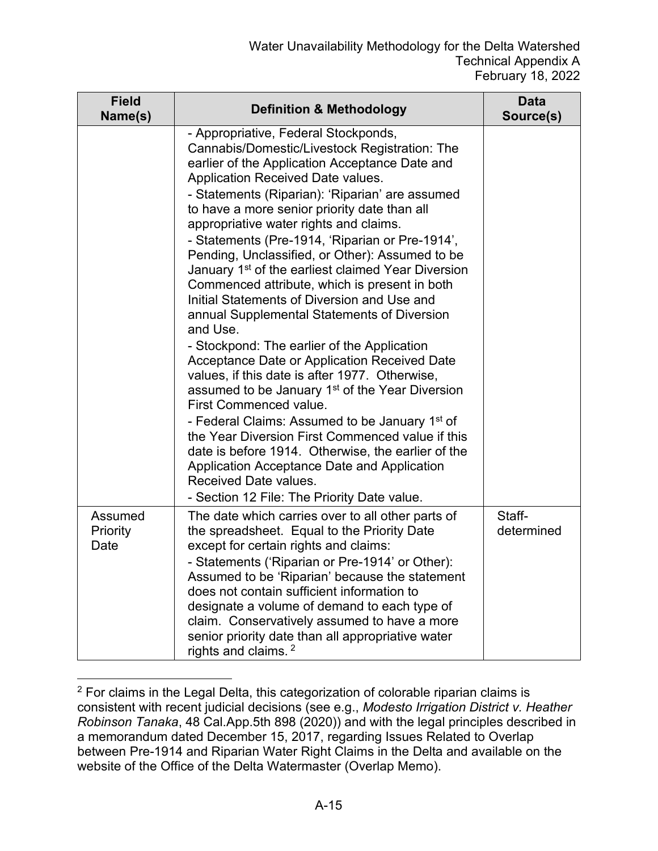| <b>Field</b><br>Name(s)     | <b>Definition &amp; Methodology</b>                                                                                                                                                                                                                                                                                                                                                                                                                                                                                                                                                                                                                                                                                                                                                                                                                                                                                                                                                                                                                                                                                                                                                                          | Data<br>Source(s)    |
|-----------------------------|--------------------------------------------------------------------------------------------------------------------------------------------------------------------------------------------------------------------------------------------------------------------------------------------------------------------------------------------------------------------------------------------------------------------------------------------------------------------------------------------------------------------------------------------------------------------------------------------------------------------------------------------------------------------------------------------------------------------------------------------------------------------------------------------------------------------------------------------------------------------------------------------------------------------------------------------------------------------------------------------------------------------------------------------------------------------------------------------------------------------------------------------------------------------------------------------------------------|----------------------|
|                             | - Appropriative, Federal Stockponds,<br>Cannabis/Domestic/Livestock Registration: The<br>earlier of the Application Acceptance Date and<br>Application Received Date values.<br>- Statements (Riparian): 'Riparian' are assumed<br>to have a more senior priority date than all<br>appropriative water rights and claims.<br>- Statements (Pre-1914, 'Riparian or Pre-1914',<br>Pending, Unclassified, or Other): Assumed to be<br>January 1 <sup>st</sup> of the earliest claimed Year Diversion<br>Commenced attribute, which is present in both<br>Initial Statements of Diversion and Use and<br>annual Supplemental Statements of Diversion<br>and Use.<br>- Stockpond: The earlier of the Application<br>Acceptance Date or Application Received Date<br>values, if this date is after 1977. Otherwise,<br>assumed to be January 1 <sup>st</sup> of the Year Diversion<br><b>First Commenced value.</b><br>- Federal Claims: Assumed to be January 1 <sup>st</sup> of<br>the Year Diversion First Commenced value if this<br>date is before 1914. Otherwise, the earlier of the<br>Application Acceptance Date and Application<br>Received Date values.<br>- Section 12 File: The Priority Date value. |                      |
| Assumed<br>Priority<br>Date | The date which carries over to all other parts of<br>the spreadsheet. Equal to the Priority Date<br>except for certain rights and claims:<br>- Statements ('Riparian or Pre-1914' or Other):<br>Assumed to be 'Riparian' because the statement<br>does not contain sufficient information to<br>designate a volume of demand to each type of<br>claim. Conservatively assumed to have a more<br>senior priority date than all appropriative water<br>rights and claims. <sup>2</sup>                                                                                                                                                                                                                                                                                                                                                                                                                                                                                                                                                                                                                                                                                                                         | Staff-<br>determined |

<span id="page-14-0"></span><sup>2</sup> For claims in the Legal Delta, this categorization of colorable riparian claims is consistent with recent judicial decisions (see e.g., *Modesto Irrigation District v. Heather Robinson Tanaka*, 48 Cal.App.5th 898 (2020)) and with the legal principles described in a memorandum dated December 15, 2017, regarding Issues Related to Overlap between Pre-1914 and Riparian Water Right Claims in the Delta and available on the website of the Office of the Delta Watermaster (Overlap Memo).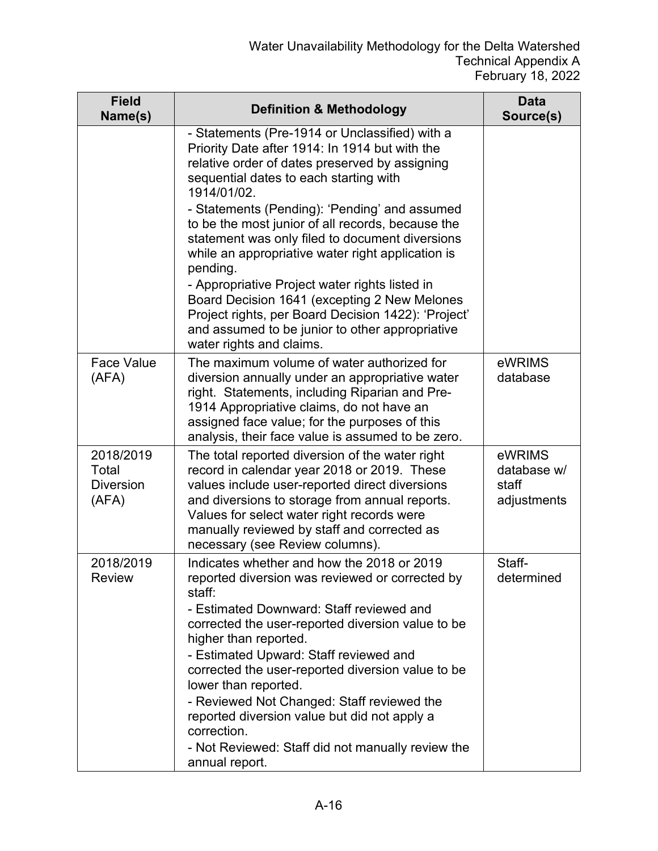| <b>Field</b><br>Name(s)                         | <b>Definition &amp; Methodology</b>                                                                                                                                                                                                                                                                                                                                                                                                                                                                                                                                                                                                                                           | <b>Data</b><br>Source(s)                      |
|-------------------------------------------------|-------------------------------------------------------------------------------------------------------------------------------------------------------------------------------------------------------------------------------------------------------------------------------------------------------------------------------------------------------------------------------------------------------------------------------------------------------------------------------------------------------------------------------------------------------------------------------------------------------------------------------------------------------------------------------|-----------------------------------------------|
|                                                 | - Statements (Pre-1914 or Unclassified) with a<br>Priority Date after 1914: In 1914 but with the<br>relative order of dates preserved by assigning<br>sequential dates to each starting with<br>1914/01/02.<br>- Statements (Pending): 'Pending' and assumed<br>to be the most junior of all records, because the<br>statement was only filed to document diversions<br>while an appropriative water right application is<br>pending.<br>- Appropriative Project water rights listed in<br>Board Decision 1641 (excepting 2 New Melones<br>Project rights, per Board Decision 1422): 'Project'<br>and assumed to be junior to other appropriative<br>water rights and claims. |                                               |
| <b>Face Value</b><br>(AFA)                      | The maximum volume of water authorized for<br>diversion annually under an appropriative water<br>right. Statements, including Riparian and Pre-<br>1914 Appropriative claims, do not have an<br>assigned face value; for the purposes of this<br>analysis, their face value is assumed to be zero.                                                                                                                                                                                                                                                                                                                                                                            | eWRIMS<br>database                            |
| 2018/2019<br>Total<br><b>Diversion</b><br>(AFA) | The total reported diversion of the water right<br>record in calendar year 2018 or 2019. These<br>values include user-reported direct diversions<br>and diversions to storage from annual reports.<br>Values for select water right records were<br>manually reviewed by staff and corrected as<br>necessary (see Review columns).                                                                                                                                                                                                                                                                                                                                            | eWRIMS<br>database w/<br>staff<br>adjustments |
| 2018/2019<br><b>Review</b>                      | Indicates whether and how the 2018 or 2019<br>reported diversion was reviewed or corrected by<br>staff:<br>- Estimated Downward: Staff reviewed and<br>corrected the user-reported diversion value to be<br>higher than reported.<br>- Estimated Upward: Staff reviewed and<br>corrected the user-reported diversion value to be<br>lower than reported.<br>- Reviewed Not Changed: Staff reviewed the<br>reported diversion value but did not apply a<br>correction.<br>- Not Reviewed: Staff did not manually review the<br>annual report.                                                                                                                                  | Staff-<br>determined                          |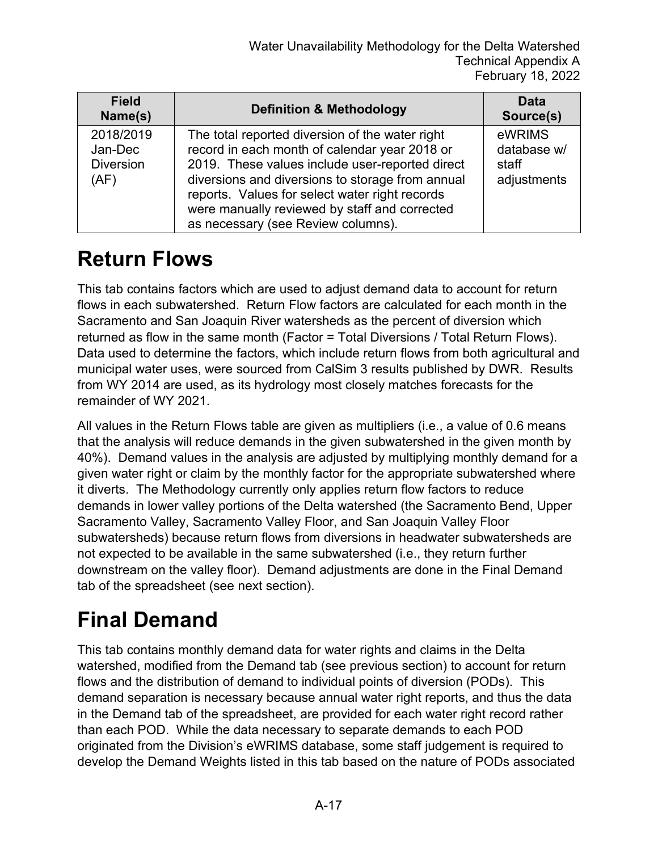| <b>Field</b><br>Name(s)                          | <b>Definition &amp; Methodology</b>                                                                                                                                                                                                                                                                                                              | Data<br>Source(s)                             |
|--------------------------------------------------|--------------------------------------------------------------------------------------------------------------------------------------------------------------------------------------------------------------------------------------------------------------------------------------------------------------------------------------------------|-----------------------------------------------|
| 2018/2019<br>Jan-Dec<br><b>Diversion</b><br>(AF) | The total reported diversion of the water right<br>record in each month of calendar year 2018 or<br>2019. These values include user-reported direct<br>diversions and diversions to storage from annual<br>reports. Values for select water right records<br>were manually reviewed by staff and corrected<br>as necessary (see Review columns). | eWRIMS<br>database w/<br>staff<br>adjustments |

#### **Return Flows**

This tab contains factors which are used to adjust demand data to account for return flows in each subwatershed. Return Flow factors are calculated for each month in the Sacramento and San Joaquin River watersheds as the percent of diversion which returned as flow in the same month (Factor = Total Diversions / Total Return Flows). Data used to determine the factors, which include return flows from both agricultural and municipal water uses, were sourced from CalSim 3 results published by DWR. Results from WY 2014 are used, as its hydrology most closely matches forecasts for the remainder of WY 2021.

All values in the Return Flows table are given as multipliers (i.e., a value of 0.6 means that the analysis will reduce demands in the given subwatershed in the given month by 40%). Demand values in the analysis are adjusted by multiplying monthly demand for a given water right or claim by the monthly factor for the appropriate subwatershed where it diverts. The Methodology currently only applies return flow factors to reduce demands in lower valley portions of the Delta watershed (the Sacramento Bend, Upper Sacramento Valley, Sacramento Valley Floor, and San Joaquin Valley Floor subwatersheds) because return flows from diversions in headwater subwatersheds are not expected to be available in the same subwatershed (i.e., they return further downstream on the valley floor). Demand adjustments are done in the Final Demand tab of the spreadsheet (see next section).

## **Final Demand**

This tab contains monthly demand data for water rights and claims in the Delta watershed, modified from the Demand tab (see previous section) to account for return flows and the distribution of demand to individual points of diversion (PODs). This demand separation is necessary because annual water right reports, and thus the data in the Demand tab of the spreadsheet, are provided for each water right record rather than each POD. While the data necessary to separate demands to each POD originated from the Division's eWRIMS database, some staff judgement is required to develop the Demand Weights listed in this tab based on the nature of PODs associated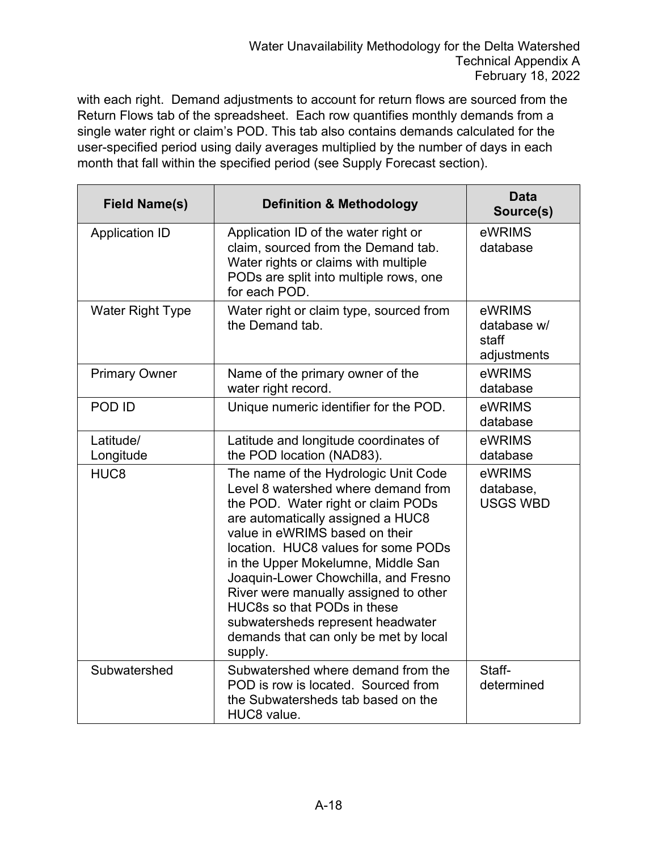with each right. Demand adjustments to account for return flows are sourced from the Return Flows tab of the spreadsheet. Each row quantifies monthly demands from a single water right or claim's POD. This tab also contains demands calculated for the user-specified period using daily averages multiplied by the number of days in each month that fall within the specified period (see Supply Forecast section).

| <b>Field Name(s)</b>    | <b>Definition &amp; Methodology</b>                                                                                                                                                                                                                                                                                                                                                                                                                                            | <b>Data</b><br>Source(s)                      |
|-------------------------|--------------------------------------------------------------------------------------------------------------------------------------------------------------------------------------------------------------------------------------------------------------------------------------------------------------------------------------------------------------------------------------------------------------------------------------------------------------------------------|-----------------------------------------------|
| <b>Application ID</b>   | Application ID of the water right or<br>claim, sourced from the Demand tab.<br>Water rights or claims with multiple<br>PODs are split into multiple rows, one<br>for each POD.                                                                                                                                                                                                                                                                                                 | eWRIMS<br>database                            |
| <b>Water Right Type</b> | Water right or claim type, sourced from<br>the Demand tab.                                                                                                                                                                                                                                                                                                                                                                                                                     | eWRIMS<br>database w/<br>staff<br>adjustments |
| <b>Primary Owner</b>    | Name of the primary owner of the<br>water right record.                                                                                                                                                                                                                                                                                                                                                                                                                        | eWRIMS<br>database                            |
| POD ID                  | Unique numeric identifier for the POD.                                                                                                                                                                                                                                                                                                                                                                                                                                         | eWRIMS<br>database                            |
| Latitude/<br>Longitude  | Latitude and longitude coordinates of<br>the POD location (NAD83).                                                                                                                                                                                                                                                                                                                                                                                                             | eWRIMS<br>database                            |
| HUC <sub>8</sub>        | The name of the Hydrologic Unit Code<br>Level 8 watershed where demand from<br>the POD. Water right or claim PODs<br>are automatically assigned a HUC8<br>value in eWRIMS based on their<br>location. HUC8 values for some PODs<br>in the Upper Mokelumne, Middle San<br>Joaquin-Lower Chowchilla, and Fresno<br>River were manually assigned to other<br>HUC8s so that PODs in these<br>subwatersheds represent headwater<br>demands that can only be met by local<br>supply. | eWRIMS<br>database,<br><b>USGS WBD</b>        |
| Subwatershed            | Subwatershed where demand from the<br>POD is row is located. Sourced from<br>the Subwatersheds tab based on the<br>HUC8 value.                                                                                                                                                                                                                                                                                                                                                 | Staff-<br>determined                          |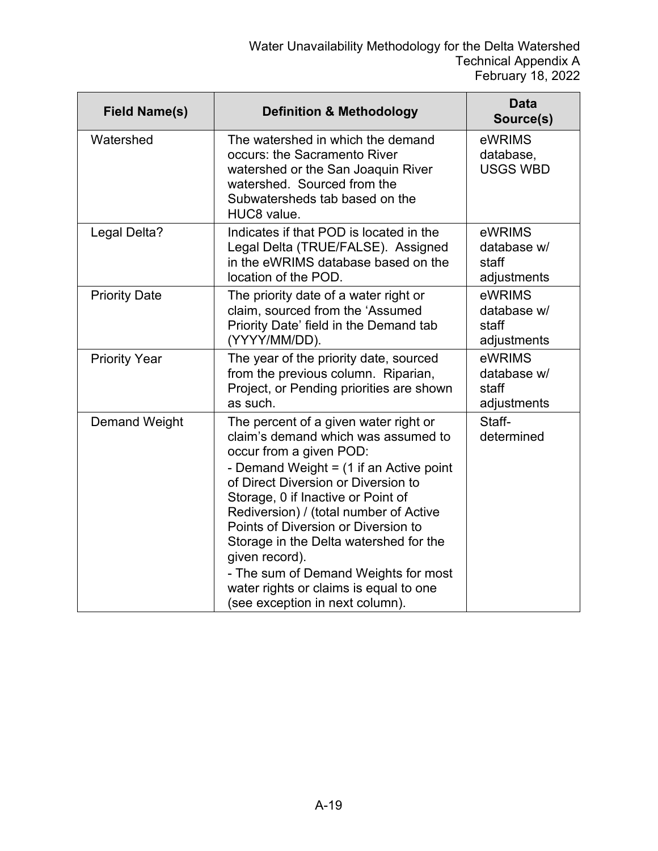| <b>Field Name(s)</b> | <b>Definition &amp; Methodology</b>                                                                                                                                                                                                                                                                                                                                                                                                                                                               | <b>Data</b><br>Source(s)                      |
|----------------------|---------------------------------------------------------------------------------------------------------------------------------------------------------------------------------------------------------------------------------------------------------------------------------------------------------------------------------------------------------------------------------------------------------------------------------------------------------------------------------------------------|-----------------------------------------------|
| Watershed            | The watershed in which the demand<br>occurs: the Sacramento River<br>watershed or the San Joaquin River<br>watershed. Sourced from the<br>Subwatersheds tab based on the<br>HUC8 value.                                                                                                                                                                                                                                                                                                           | eWRIMS<br>database,<br><b>USGS WBD</b>        |
| Legal Delta?         | Indicates if that POD is located in the<br>Legal Delta (TRUE/FALSE). Assigned<br>in the eWRIMS database based on the<br>location of the POD.                                                                                                                                                                                                                                                                                                                                                      | eWRIMS<br>database w/<br>staff<br>adjustments |
| <b>Priority Date</b> | The priority date of a water right or<br>claim, sourced from the 'Assumed<br>Priority Date' field in the Demand tab<br>(YYYY/MM/DD).                                                                                                                                                                                                                                                                                                                                                              | eWRIMS<br>database w/<br>staff<br>adjustments |
| <b>Priority Year</b> | The year of the priority date, sourced<br>from the previous column. Riparian,<br>Project, or Pending priorities are shown<br>as such.                                                                                                                                                                                                                                                                                                                                                             | eWRIMS<br>database w/<br>staff<br>adjustments |
| <b>Demand Weight</b> | The percent of a given water right or<br>claim's demand which was assumed to<br>occur from a given POD:<br>- Demand Weight = (1 if an Active point<br>of Direct Diversion or Diversion to<br>Storage, 0 if Inactive or Point of<br>Rediversion) / (total number of Active<br>Points of Diversion or Diversion to<br>Storage in the Delta watershed for the<br>given record).<br>- The sum of Demand Weights for most<br>water rights or claims is equal to one<br>(see exception in next column). | Staff-<br>determined                          |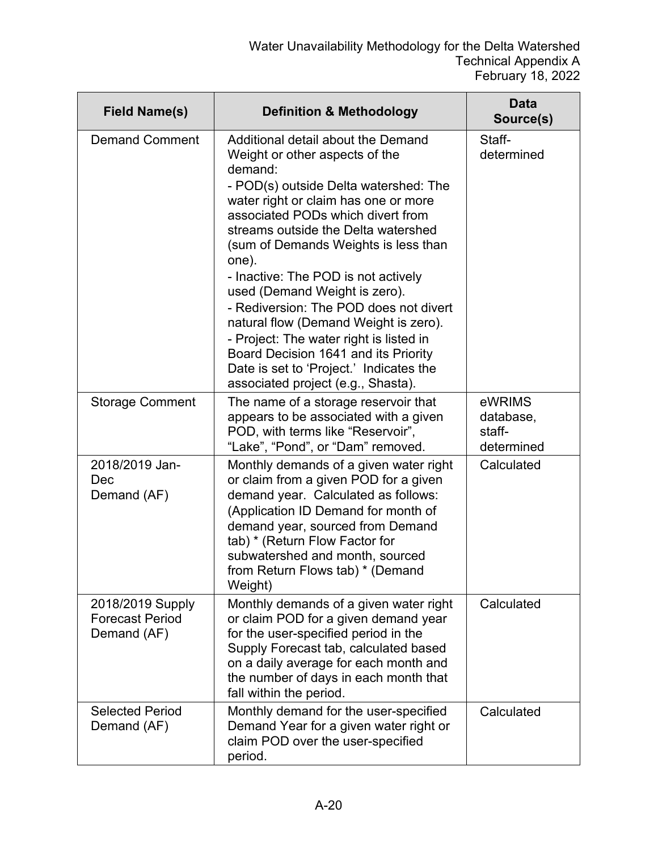| <b>Field Name(s)</b>                                      | <b>Definition &amp; Methodology</b>                                                                                                                                                                                                                                                                                                                                                                                                                                                                                                                                                                                          | <b>Data</b><br>Source(s)                    |
|-----------------------------------------------------------|------------------------------------------------------------------------------------------------------------------------------------------------------------------------------------------------------------------------------------------------------------------------------------------------------------------------------------------------------------------------------------------------------------------------------------------------------------------------------------------------------------------------------------------------------------------------------------------------------------------------------|---------------------------------------------|
| <b>Demand Comment</b>                                     | Additional detail about the Demand<br>Weight or other aspects of the<br>demand:<br>- POD(s) outside Delta watershed: The<br>water right or claim has one or more<br>associated PODs which divert from<br>streams outside the Delta watershed<br>(sum of Demands Weights is less than<br>one).<br>- Inactive: The POD is not actively<br>used (Demand Weight is zero).<br>- Rediversion: The POD does not divert<br>natural flow (Demand Weight is zero).<br>- Project: The water right is listed in<br>Board Decision 1641 and its Priority<br>Date is set to 'Project.' Indicates the<br>associated project (e.g., Shasta). | Staff-<br>determined                        |
| <b>Storage Comment</b>                                    | The name of a storage reservoir that<br>appears to be associated with a given<br>POD, with terms like "Reservoir",<br>"Lake", "Pond", or "Dam" removed.                                                                                                                                                                                                                                                                                                                                                                                                                                                                      | eWRIMS<br>database,<br>staff-<br>determined |
| 2018/2019 Jan-<br>Dec<br>Demand (AF)                      | Monthly demands of a given water right<br>or claim from a given POD for a given<br>demand year. Calculated as follows:<br>(Application ID Demand for month of<br>demand year, sourced from Demand<br>tab) * (Return Flow Factor for<br>subwatershed and month, sourced<br>from Return Flows tab) * (Demand<br>Weight)                                                                                                                                                                                                                                                                                                        | Calculated                                  |
| 2018/2019 Supply<br><b>Forecast Period</b><br>Demand (AF) | Monthly demands of a given water right<br>or claim POD for a given demand year<br>for the user-specified period in the<br>Supply Forecast tab, calculated based<br>on a daily average for each month and<br>the number of days in each month that<br>fall within the period.                                                                                                                                                                                                                                                                                                                                                 | Calculated                                  |
| <b>Selected Period</b><br>Demand (AF)                     | Monthly demand for the user-specified<br>Demand Year for a given water right or<br>claim POD over the user-specified<br>period.                                                                                                                                                                                                                                                                                                                                                                                                                                                                                              | Calculated                                  |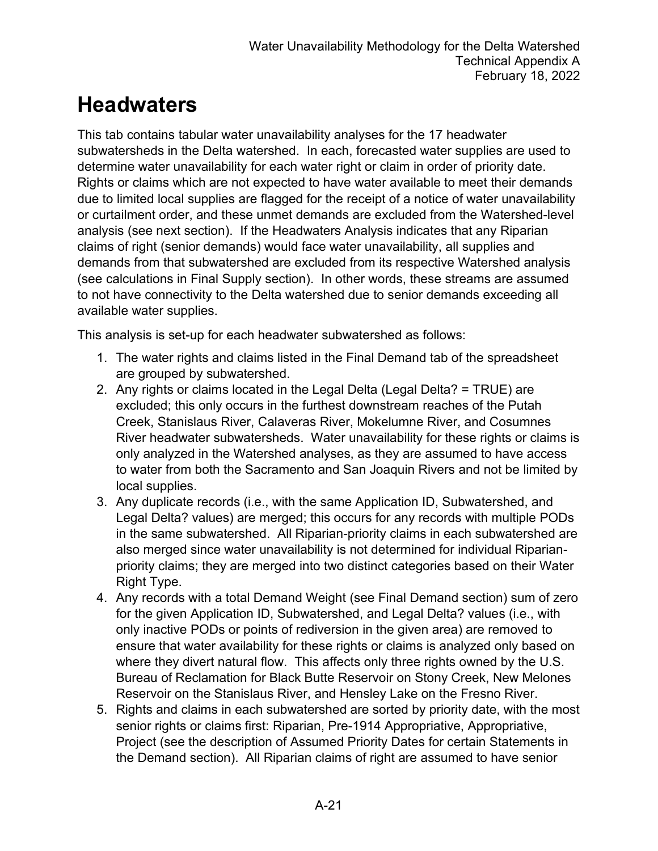#### **Headwaters**

This tab contains tabular water unavailability analyses for the 17 headwater subwatersheds in the Delta watershed. In each, forecasted water supplies are used to determine water unavailability for each water right or claim in order of priority date. Rights or claims which are not expected to have water available to meet their demands due to limited local supplies are flagged for the receipt of a notice of water unavailability or curtailment order, and these unmet demands are excluded from the Watershed-level analysis (see next section). If the Headwaters Analysis indicates that any Riparian claims of right (senior demands) would face water unavailability, all supplies and demands from that subwatershed are excluded from its respective Watershed analysis (see calculations in Final Supply section). In other words, these streams are assumed to not have connectivity to the Delta watershed due to senior demands exceeding all available water supplies.

This analysis is set-up for each headwater subwatershed as follows:

- 1. The water rights and claims listed in the Final Demand tab of the spreadsheet are grouped by subwatershed.
- 2. Any rights or claims located in the Legal Delta (Legal Delta? = TRUE) are excluded; this only occurs in the furthest downstream reaches of the Putah Creek, Stanislaus River, Calaveras River, Mokelumne River, and Cosumnes River headwater subwatersheds. Water unavailability for these rights or claims is only analyzed in the Watershed analyses, as they are assumed to have access to water from both the Sacramento and San Joaquin Rivers and not be limited by local supplies.
- 3. Any duplicate records (i.e., with the same Application ID, Subwatershed, and Legal Delta? values) are merged; this occurs for any records with multiple PODs in the same subwatershed. All Riparian-priority claims in each subwatershed are also merged since water unavailability is not determined for individual Riparianpriority claims; they are merged into two distinct categories based on their Water Right Type.
- 4. Any records with a total Demand Weight (see Final Demand section) sum of zero for the given Application ID, Subwatershed, and Legal Delta? values (i.e., with only inactive PODs or points of rediversion in the given area) are removed to ensure that water availability for these rights or claims is analyzed only based on where they divert natural flow. This affects only three rights owned by the U.S. Bureau of Reclamation for Black Butte Reservoir on Stony Creek, New Melones Reservoir on the Stanislaus River, and Hensley Lake on the Fresno River.
- 5. Rights and claims in each subwatershed are sorted by priority date, with the most senior rights or claims first: Riparian, Pre-1914 Appropriative, Appropriative, Project (see the description of Assumed Priority Dates for certain Statements in the Demand section). All Riparian claims of right are assumed to have senior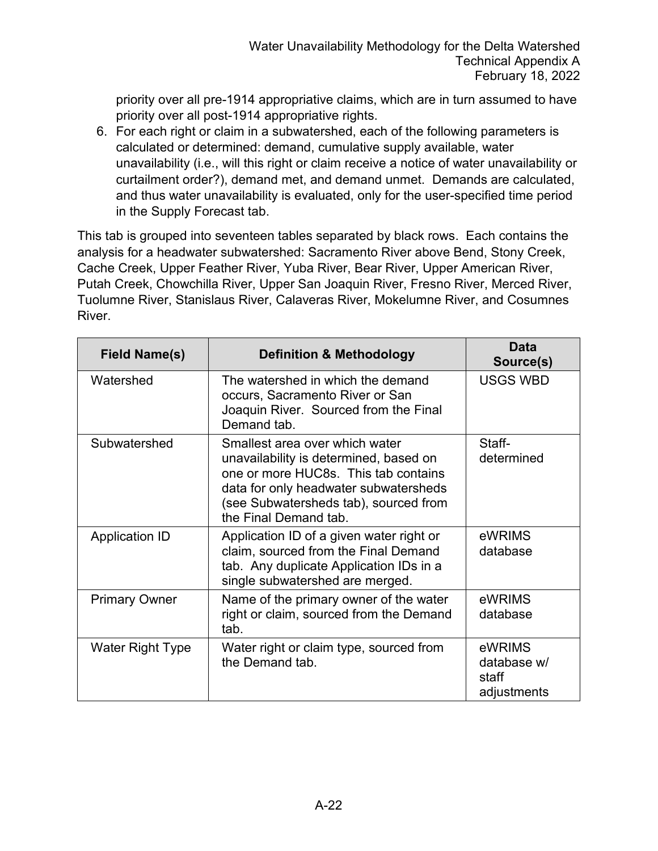priority over all pre-1914 appropriative claims, which are in turn assumed to have priority over all post-1914 appropriative rights.

6. For each right or claim in a subwatershed, each of the following parameters is calculated or determined: demand, cumulative supply available, water unavailability (i.e., will this right or claim receive a notice of water unavailability or curtailment order?), demand met, and demand unmet. Demands are calculated, and thus water unavailability is evaluated, only for the user-specified time period in the Supply Forecast tab.

This tab is grouped into seventeen tables separated by black rows. Each contains the analysis for a headwater subwatershed: Sacramento River above Bend, Stony Creek, Cache Creek, Upper Feather River, Yuba River, Bear River, Upper American River, Putah Creek, Chowchilla River, Upper San Joaquin River, Fresno River, Merced River, Tuolumne River, Stanislaus River, Calaveras River, Mokelumne River, and Cosumnes River.

| <b>Field Name(s)</b>  | <b>Definition &amp; Methodology</b>                                                                                                                                                                                         | Data<br>Source(s)                             |
|-----------------------|-----------------------------------------------------------------------------------------------------------------------------------------------------------------------------------------------------------------------------|-----------------------------------------------|
| Watershed             | The watershed in which the demand<br>occurs, Sacramento River or San<br>Joaquin River. Sourced from the Final<br>Demand tab.                                                                                                | <b>USGS WBD</b>                               |
| Subwatershed          | Smallest area over which water<br>unavailability is determined, based on<br>one or more HUC8s. This tab contains<br>data for only headwater subwatersheds<br>(see Subwatersheds tab), sourced from<br>the Final Demand tab. | Staff-<br>determined                          |
| <b>Application ID</b> | Application ID of a given water right or<br>claim, sourced from the Final Demand<br>tab. Any duplicate Application IDs in a<br>single subwatershed are merged.                                                              | eWRIMS<br>database                            |
| <b>Primary Owner</b>  | Name of the primary owner of the water<br>right or claim, sourced from the Demand<br>tab.                                                                                                                                   | eWRIMS<br>database                            |
| Water Right Type      | Water right or claim type, sourced from<br>the Demand tab.                                                                                                                                                                  | eWRIMS<br>database w/<br>staff<br>adjustments |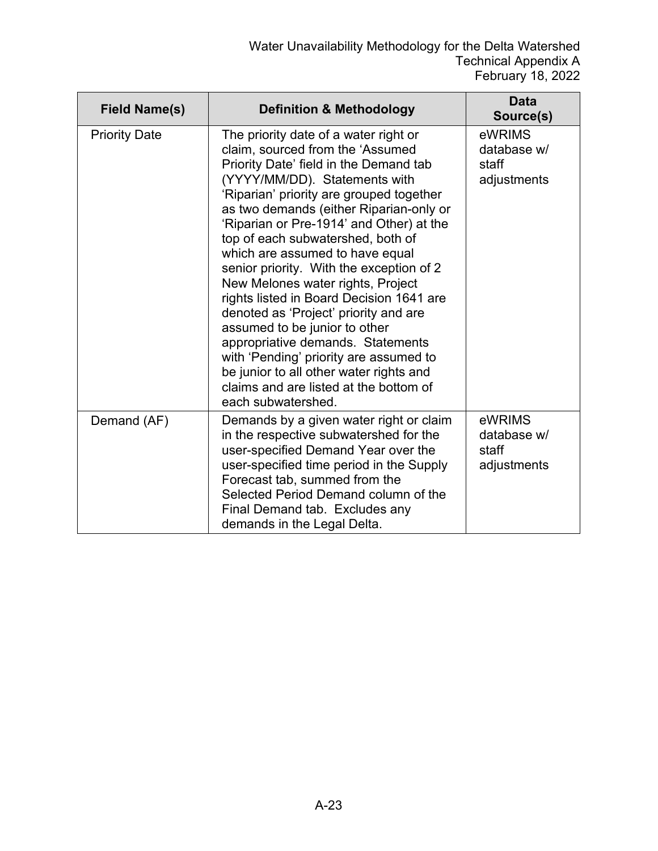| <b>Field Name(s)</b> | <b>Definition &amp; Methodology</b>                                                                                                                                                                                                                                                                                                                                                                                                                                                                                                                                                                                                                                                                                                                              | <b>Data</b><br>Source(s)                      |
|----------------------|------------------------------------------------------------------------------------------------------------------------------------------------------------------------------------------------------------------------------------------------------------------------------------------------------------------------------------------------------------------------------------------------------------------------------------------------------------------------------------------------------------------------------------------------------------------------------------------------------------------------------------------------------------------------------------------------------------------------------------------------------------------|-----------------------------------------------|
| <b>Priority Date</b> | The priority date of a water right or<br>claim, sourced from the 'Assumed<br>Priority Date' field in the Demand tab<br>(YYYY/MM/DD). Statements with<br>'Riparian' priority are grouped together<br>as two demands (either Riparian-only or<br>'Riparian or Pre-1914' and Other) at the<br>top of each subwatershed, both of<br>which are assumed to have equal<br>senior priority. With the exception of 2<br>New Melones water rights, Project<br>rights listed in Board Decision 1641 are<br>denoted as 'Project' priority and are<br>assumed to be junior to other<br>appropriative demands. Statements<br>with 'Pending' priority are assumed to<br>be junior to all other water rights and<br>claims and are listed at the bottom of<br>each subwatershed. | eWRIMS<br>database w/<br>staff<br>adjustments |
| Demand (AF)          | Demands by a given water right or claim<br>in the respective subwatershed for the<br>user-specified Demand Year over the<br>user-specified time period in the Supply<br>Forecast tab, summed from the<br>Selected Period Demand column of the<br>Final Demand tab. Excludes any<br>demands in the Legal Delta.                                                                                                                                                                                                                                                                                                                                                                                                                                                   | eWRIMS<br>database w/<br>staff<br>adjustments |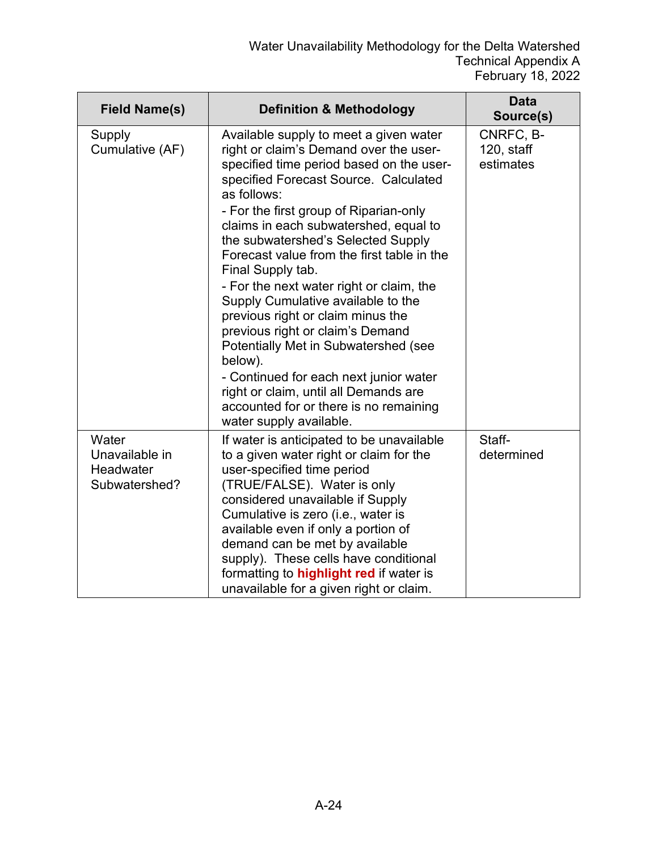| <b>Field Name(s)</b>                                  | <b>Definition &amp; Methodology</b>                                                                                                                                                                                                                                                                                                                                                                                                                                                                                                                                                                                                                                                                                                                    | <b>Data</b><br>Source(s)                |
|-------------------------------------------------------|--------------------------------------------------------------------------------------------------------------------------------------------------------------------------------------------------------------------------------------------------------------------------------------------------------------------------------------------------------------------------------------------------------------------------------------------------------------------------------------------------------------------------------------------------------------------------------------------------------------------------------------------------------------------------------------------------------------------------------------------------------|-----------------------------------------|
| Supply<br>Cumulative (AF)                             | Available supply to meet a given water<br>right or claim's Demand over the user-<br>specified time period based on the user-<br>specified Forecast Source. Calculated<br>as follows:<br>- For the first group of Riparian-only<br>claims in each subwatershed, equal to<br>the subwatershed's Selected Supply<br>Forecast value from the first table in the<br>Final Supply tab.<br>- For the next water right or claim, the<br>Supply Cumulative available to the<br>previous right or claim minus the<br>previous right or claim's Demand<br>Potentially Met in Subwatershed (see<br>below).<br>- Continued for each next junior water<br>right or claim, until all Demands are<br>accounted for or there is no remaining<br>water supply available. | CNRFC, B-<br>$120$ , staff<br>estimates |
| Water<br>Unavailable in<br>Headwater<br>Subwatershed? | If water is anticipated to be unavailable<br>to a given water right or claim for the<br>user-specified time period<br>(TRUE/FALSE). Water is only<br>considered unavailable if Supply<br>Cumulative is zero (i.e., water is<br>available even if only a portion of<br>demand can be met by available<br>supply). These cells have conditional<br>formatting to <b>highlight red</b> if water is<br>unavailable for a given right or claim.                                                                                                                                                                                                                                                                                                             | Staff-<br>determined                    |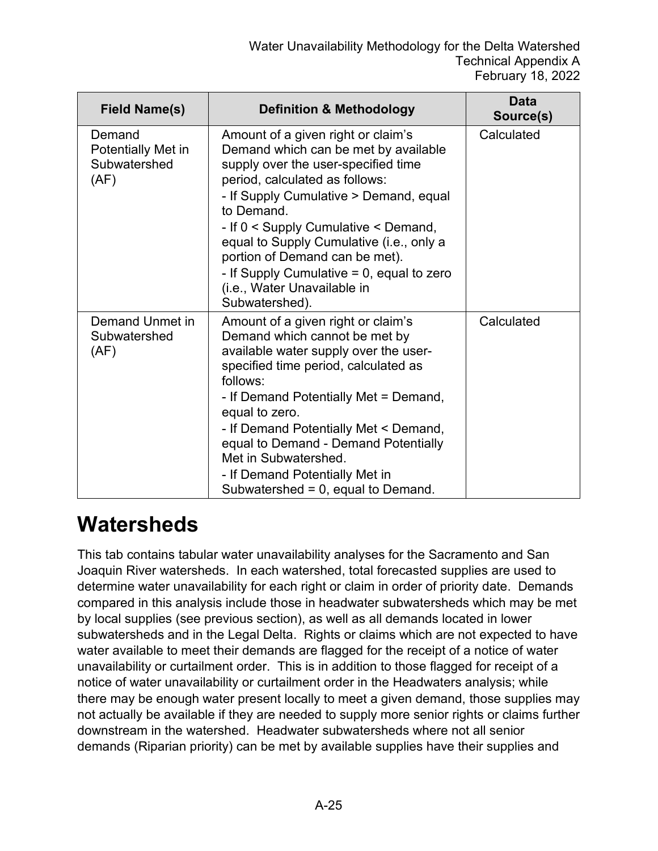| <b>Field Name(s)</b>                                 | <b>Definition &amp; Methodology</b>                                                                                                                                                                                                                                                                                                                                                                                                | <b>Data</b><br>Source(s) |
|------------------------------------------------------|------------------------------------------------------------------------------------------------------------------------------------------------------------------------------------------------------------------------------------------------------------------------------------------------------------------------------------------------------------------------------------------------------------------------------------|--------------------------|
| Demand<br>Potentially Met in<br>Subwatershed<br>(AF) | Amount of a given right or claim's<br>Demand which can be met by available<br>supply over the user-specified time<br>period, calculated as follows:<br>- If Supply Cumulative > Demand, equal<br>to Demand.<br>- If 0 < Supply Cumulative < Demand,<br>equal to Supply Cumulative (i.e., only a<br>portion of Demand can be met).<br>- If Supply Cumulative $= 0$ , equal to zero<br>(i.e., Water Unavailable in<br>Subwatershed). | Calculated               |
| Demand Unmet in<br>Subwatershed<br>(AF)              | Amount of a given right or claim's<br>Demand which cannot be met by<br>available water supply over the user-<br>specified time period, calculated as<br>follows:<br>- If Demand Potentially Met = Demand,<br>equal to zero.<br>- If Demand Potentially Met < Demand,<br>equal to Demand - Demand Potentially<br>Met in Subwatershed.<br>- If Demand Potentially Met in<br>Subwatershed = 0, equal to Demand.                       | Calculated               |

#### **Watersheds**

This tab contains tabular water unavailability analyses for the Sacramento and San Joaquin River watersheds. In each watershed, total forecasted supplies are used to determine water unavailability for each right or claim in order of priority date. Demands compared in this analysis include those in headwater subwatersheds which may be met by local supplies (see previous section), as well as all demands located in lower subwatersheds and in the Legal Delta. Rights or claims which are not expected to have water available to meet their demands are flagged for the receipt of a notice of water unavailability or curtailment order. This is in addition to those flagged for receipt of a notice of water unavailability or curtailment order in the Headwaters analysis; while there may be enough water present locally to meet a given demand, those supplies may not actually be available if they are needed to supply more senior rights or claims further downstream in the watershed. Headwater subwatersheds where not all senior demands (Riparian priority) can be met by available supplies have their supplies and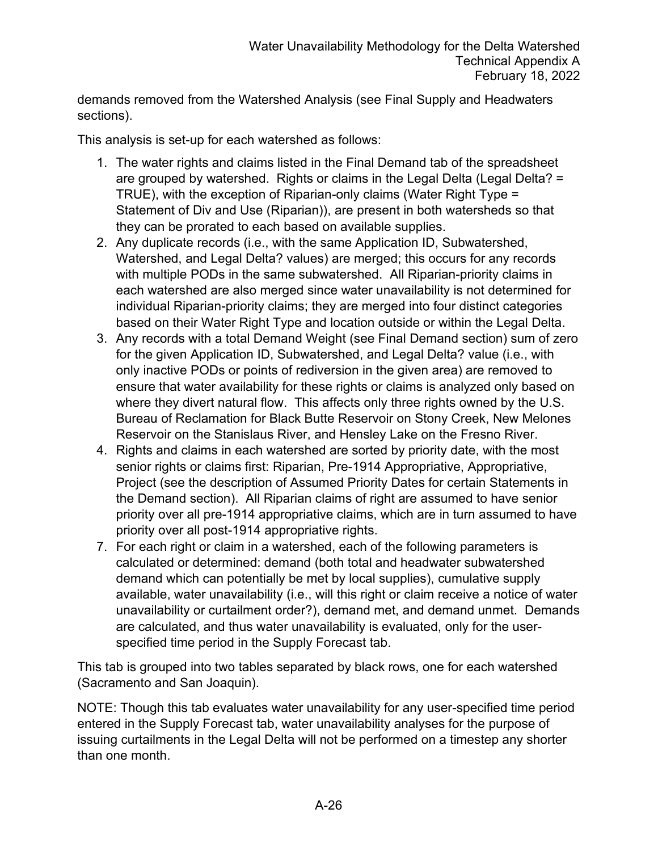demands removed from the Watershed Analysis (see Final Supply and Headwaters sections).

This analysis is set-up for each watershed as follows:

- 1. The water rights and claims listed in the Final Demand tab of the spreadsheet are grouped by watershed. Rights or claims in the Legal Delta (Legal Delta? = TRUE), with the exception of Riparian-only claims (Water Right Type = Statement of Div and Use (Riparian)), are present in both watersheds so that they can be prorated to each based on available supplies.
- 2. Any duplicate records (i.e., with the same Application ID, Subwatershed, Watershed, and Legal Delta? values) are merged; this occurs for any records with multiple PODs in the same subwatershed. All Riparian-priority claims in each watershed are also merged since water unavailability is not determined for individual Riparian-priority claims; they are merged into four distinct categories based on their Water Right Type and location outside or within the Legal Delta.
- 3. Any records with a total Demand Weight (see Final Demand section) sum of zero for the given Application ID, Subwatershed, and Legal Delta? value (i.e., with only inactive PODs or points of rediversion in the given area) are removed to ensure that water availability for these rights or claims is analyzed only based on where they divert natural flow. This affects only three rights owned by the U.S. Bureau of Reclamation for Black Butte Reservoir on Stony Creek, New Melones Reservoir on the Stanislaus River, and Hensley Lake on the Fresno River.
- 4. Rights and claims in each watershed are sorted by priority date, with the most senior rights or claims first: Riparian, Pre-1914 Appropriative, Appropriative, Project (see the description of Assumed Priority Dates for certain Statements in the Demand section). All Riparian claims of right are assumed to have senior priority over all pre-1914 appropriative claims, which are in turn assumed to have priority over all post-1914 appropriative rights.
- 7. For each right or claim in a watershed, each of the following parameters is calculated or determined: demand (both total and headwater subwatershed demand which can potentially be met by local supplies), cumulative supply available, water unavailability (i.e., will this right or claim receive a notice of water unavailability or curtailment order?), demand met, and demand unmet. Demands are calculated, and thus water unavailability is evaluated, only for the userspecified time period in the Supply Forecast tab.

This tab is grouped into two tables separated by black rows, one for each watershed (Sacramento and San Joaquin).

NOTE: Though this tab evaluates water unavailability for any user-specified time period entered in the Supply Forecast tab, water unavailability analyses for the purpose of issuing curtailments in the Legal Delta will not be performed on a timestep any shorter than one month.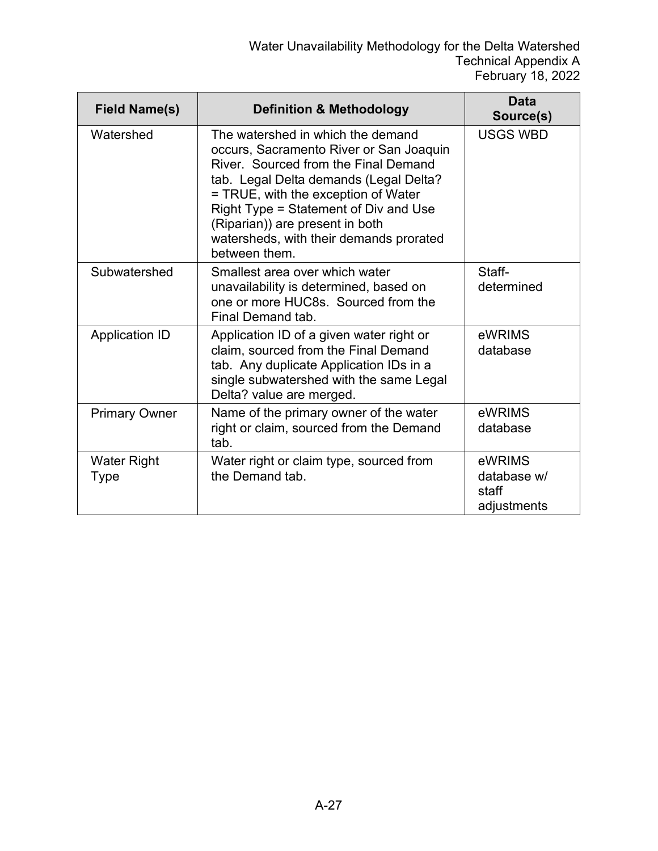| <b>Field Name(s)</b>       | <b>Definition &amp; Methodology</b>                                                                                                                                                                                                                                                                                                           | <b>Data</b><br>Source(s)                      |
|----------------------------|-----------------------------------------------------------------------------------------------------------------------------------------------------------------------------------------------------------------------------------------------------------------------------------------------------------------------------------------------|-----------------------------------------------|
| Watershed                  | The watershed in which the demand<br>occurs, Sacramento River or San Joaquin<br>River. Sourced from the Final Demand<br>tab. Legal Delta demands (Legal Delta?<br>= TRUE, with the exception of Water<br>Right Type = Statement of Div and Use<br>(Riparian)) are present in both<br>watersheds, with their demands prorated<br>between them. | <b>USGS WBD</b>                               |
| Subwatershed               | Smallest area over which water<br>unavailability is determined, based on<br>one or more HUC8s. Sourced from the<br>Final Demand tab.                                                                                                                                                                                                          | Staff-<br>determined                          |
| <b>Application ID</b>      | Application ID of a given water right or<br>claim, sourced from the Final Demand<br>tab. Any duplicate Application IDs in a<br>single subwatershed with the same Legal<br>Delta? value are merged.                                                                                                                                            | eWRIMS<br>database                            |
| <b>Primary Owner</b>       | Name of the primary owner of the water<br>right or claim, sourced from the Demand<br>tab.                                                                                                                                                                                                                                                     | eWRIMS<br>database                            |
| <b>Water Right</b><br>Type | Water right or claim type, sourced from<br>the Demand tab.                                                                                                                                                                                                                                                                                    | eWRIMS<br>database w/<br>staff<br>adjustments |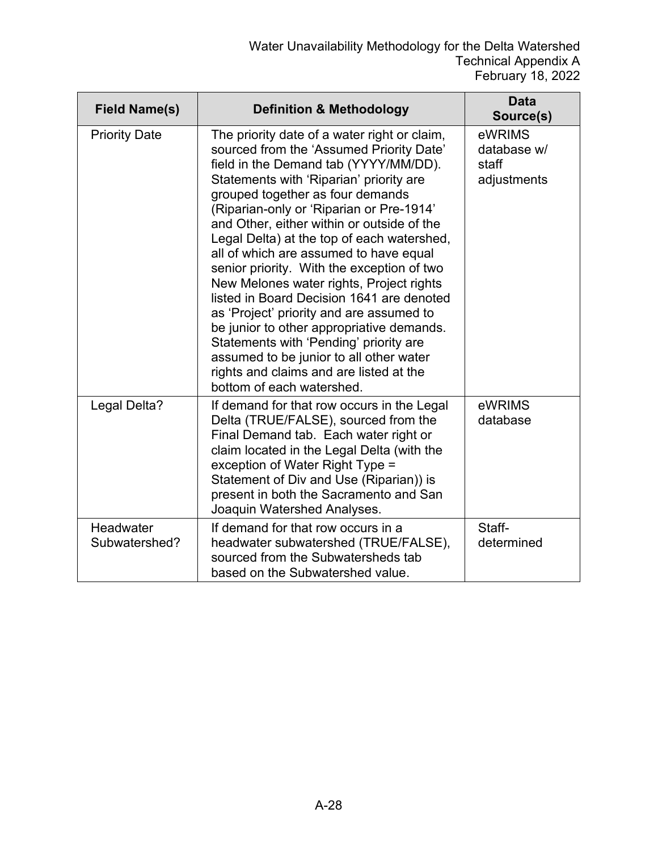| <b>Field Name(s)</b>       | <b>Definition &amp; Methodology</b>                                                                                                                                                                                                                                                                                                                                                                                                                                                                                                                                                                                                                                                                                                                                                             | <b>Data</b><br>Source(s)                      |
|----------------------------|-------------------------------------------------------------------------------------------------------------------------------------------------------------------------------------------------------------------------------------------------------------------------------------------------------------------------------------------------------------------------------------------------------------------------------------------------------------------------------------------------------------------------------------------------------------------------------------------------------------------------------------------------------------------------------------------------------------------------------------------------------------------------------------------------|-----------------------------------------------|
| <b>Priority Date</b>       | The priority date of a water right or claim,<br>sourced from the 'Assumed Priority Date'<br>field in the Demand tab (YYYY/MM/DD).<br>Statements with 'Riparian' priority are<br>grouped together as four demands<br>(Riparian-only or 'Riparian or Pre-1914'<br>and Other, either within or outside of the<br>Legal Delta) at the top of each watershed,<br>all of which are assumed to have equal<br>senior priority. With the exception of two<br>New Melones water rights, Project rights<br>listed in Board Decision 1641 are denoted<br>as 'Project' priority and are assumed to<br>be junior to other appropriative demands.<br>Statements with 'Pending' priority are<br>assumed to be junior to all other water<br>rights and claims and are listed at the<br>bottom of each watershed. | eWRIMS<br>database w/<br>staff<br>adjustments |
| Legal Delta?               | If demand for that row occurs in the Legal<br>Delta (TRUE/FALSE), sourced from the<br>Final Demand tab. Each water right or<br>claim located in the Legal Delta (with the<br>exception of Water Right Type =<br>Statement of Div and Use (Riparian)) is<br>present in both the Sacramento and San<br>Joaquin Watershed Analyses.                                                                                                                                                                                                                                                                                                                                                                                                                                                                | eWRIMS<br>database                            |
| Headwater<br>Subwatershed? | If demand for that row occurs in a<br>headwater subwatershed (TRUE/FALSE),<br>sourced from the Subwatersheds tab<br>based on the Subwatershed value.                                                                                                                                                                                                                                                                                                                                                                                                                                                                                                                                                                                                                                            | Staff-<br>determined                          |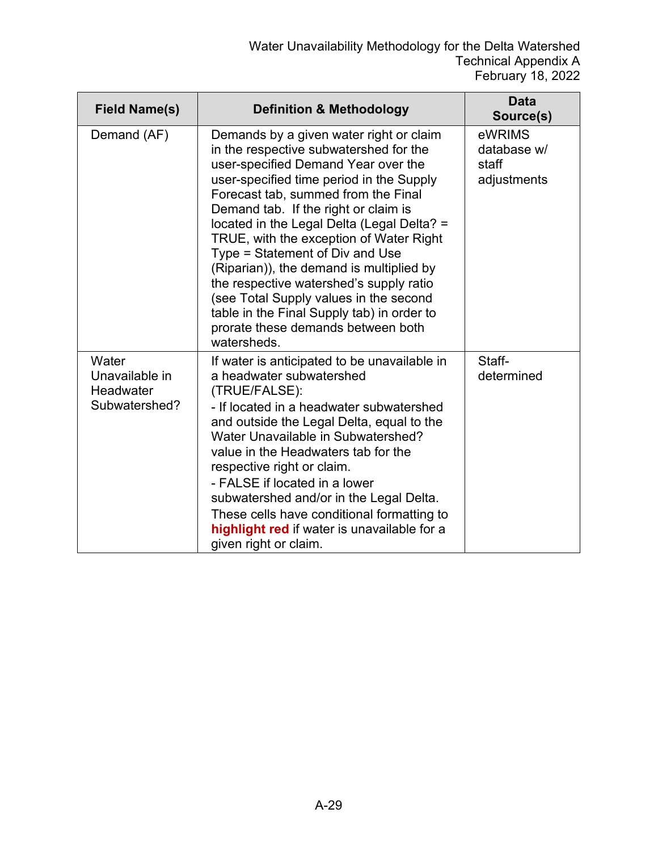| <b>Field Name(s)</b>                                  | <b>Definition &amp; Methodology</b>                                                                                                                                                                                                                                                                                                                                                                                                                                                                                                                                                                                 | <b>Data</b><br>Source(s)                      |
|-------------------------------------------------------|---------------------------------------------------------------------------------------------------------------------------------------------------------------------------------------------------------------------------------------------------------------------------------------------------------------------------------------------------------------------------------------------------------------------------------------------------------------------------------------------------------------------------------------------------------------------------------------------------------------------|-----------------------------------------------|
| Demand (AF)                                           | Demands by a given water right or claim<br>in the respective subwatershed for the<br>user-specified Demand Year over the<br>user-specified time period in the Supply<br>Forecast tab, summed from the Final<br>Demand tab. If the right or claim is<br>located in the Legal Delta (Legal Delta? =<br>TRUE, with the exception of Water Right<br>Type = Statement of Div and Use<br>(Riparian)), the demand is multiplied by<br>the respective watershed's supply ratio<br>(see Total Supply values in the second<br>table in the Final Supply tab) in order to<br>prorate these demands between both<br>watersheds. | eWRIMS<br>database w/<br>staff<br>adjustments |
| Water<br>Unavailable in<br>Headwater<br>Subwatershed? | If water is anticipated to be unavailable in<br>a headwater subwatershed<br>(TRUE/FALSE):<br>- If located in a headwater subwatershed<br>and outside the Legal Delta, equal to the<br>Water Unavailable in Subwatershed?<br>value in the Headwaters tab for the<br>respective right or claim.<br>- FALSE if located in a lower<br>subwatershed and/or in the Legal Delta.<br>These cells have conditional formatting to<br>highlight red if water is unavailable for a<br>given right or claim.                                                                                                                     | Staff-<br>determined                          |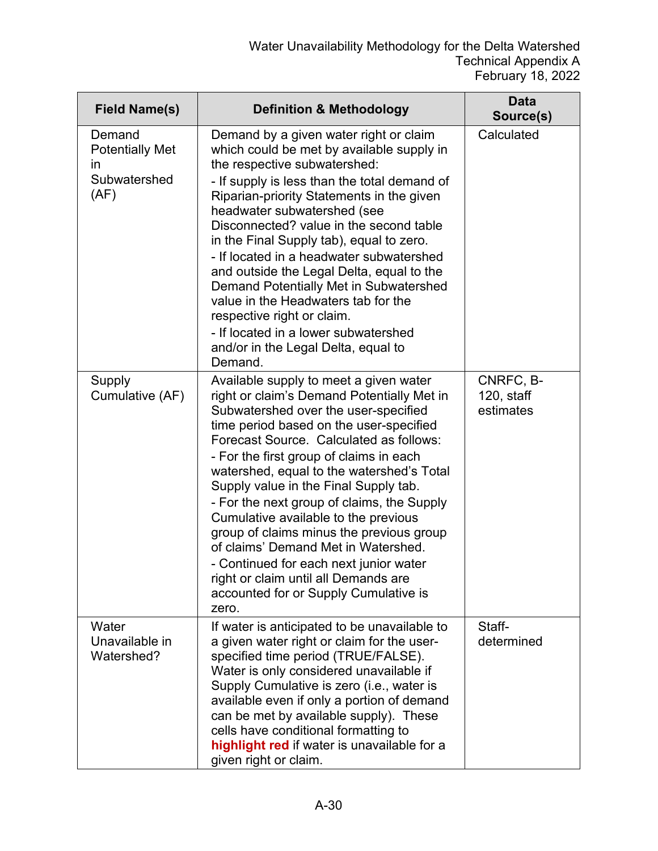| <b>Field Name(s)</b>                                           | <b>Definition &amp; Methodology</b>                                                                                                                                                                                                                                                                                                                                                                                                                                                                                                                                                                                                                              | <b>Data</b><br>Source(s)             |
|----------------------------------------------------------------|------------------------------------------------------------------------------------------------------------------------------------------------------------------------------------------------------------------------------------------------------------------------------------------------------------------------------------------------------------------------------------------------------------------------------------------------------------------------------------------------------------------------------------------------------------------------------------------------------------------------------------------------------------------|--------------------------------------|
| Demand<br><b>Potentially Met</b><br>ın<br>Subwatershed<br>(AF) | Demand by a given water right or claim<br>which could be met by available supply in<br>the respective subwatershed:<br>- If supply is less than the total demand of<br>Riparian-priority Statements in the given<br>headwater subwatershed (see<br>Disconnected? value in the second table<br>in the Final Supply tab), equal to zero.<br>- If located in a headwater subwatershed<br>and outside the Legal Delta, equal to the<br>Demand Potentially Met in Subwatershed<br>value in the Headwaters tab for the<br>respective right or claim.<br>- If located in a lower subwatershed<br>and/or in the Legal Delta, equal to<br>Demand.                         | Calculated                           |
| Supply<br>Cumulative (AF)                                      | Available supply to meet a given water<br>right or claim's Demand Potentially Met in<br>Subwatershed over the user-specified<br>time period based on the user-specified<br>Forecast Source. Calculated as follows:<br>- For the first group of claims in each<br>watershed, equal to the watershed's Total<br>Supply value in the Final Supply tab.<br>- For the next group of claims, the Supply<br>Cumulative available to the previous<br>group of claims minus the previous group<br>of claims' Demand Met in Watershed.<br>- Continued for each next junior water<br>right or claim until all Demands are<br>accounted for or Supply Cumulative is<br>zero. | CNRFC, B-<br>120, staff<br>estimates |
| Water<br>Unavailable in<br>Watershed?                          | If water is anticipated to be unavailable to<br>a given water right or claim for the user-<br>specified time period (TRUE/FALSE).<br>Water is only considered unavailable if<br>Supply Cumulative is zero (i.e., water is<br>available even if only a portion of demand<br>can be met by available supply). These<br>cells have conditional formatting to<br>highlight red if water is unavailable for a<br>given right or claim.                                                                                                                                                                                                                                | Staff-<br>determined                 |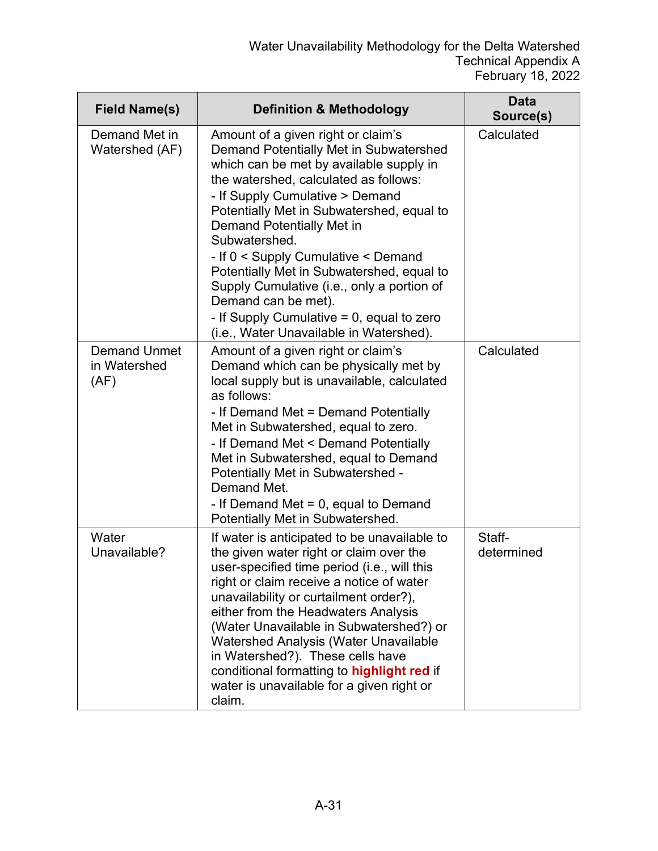| <b>Field Name(s)</b>                        | <b>Definition &amp; Methodology</b>                                                                                                                                                                                                                                                                                                                                                                                                                                                                            | <b>Data</b><br>Source(s) |
|---------------------------------------------|----------------------------------------------------------------------------------------------------------------------------------------------------------------------------------------------------------------------------------------------------------------------------------------------------------------------------------------------------------------------------------------------------------------------------------------------------------------------------------------------------------------|--------------------------|
| Demand Met in<br>Watershed (AF)             | Amount of a given right or claim's<br>Demand Potentially Met in Subwatershed<br>which can be met by available supply in<br>the watershed, calculated as follows:<br>- If Supply Cumulative > Demand<br>Potentially Met in Subwatershed, equal to<br><b>Demand Potentially Met in</b><br>Subwatershed.<br>- If 0 < Supply Cumulative < Demand<br>Potentially Met in Subwatershed, equal to<br>Supply Cumulative (i.e., only a portion of<br>Demand can be met).<br>- If Supply Cumulative $= 0$ , equal to zero | Calculated               |
|                                             | (i.e., Water Unavailable in Watershed).                                                                                                                                                                                                                                                                                                                                                                                                                                                                        |                          |
| <b>Demand Unmet</b><br>in Watershed<br>(AF) | Amount of a given right or claim's<br>Demand which can be physically met by<br>local supply but is unavailable, calculated<br>as follows:<br>- If Demand Met = Demand Potentially<br>Met in Subwatershed, equal to zero.<br>- If Demand Met < Demand Potentially<br>Met in Subwatershed, equal to Demand<br>Potentially Met in Subwatershed -<br>Demand Met.<br>- If Demand Met $= 0$ , equal to Demand<br>Potentially Met in Subwatershed.                                                                    | Calculated               |
| Water<br>Unavailable?                       | If water is anticipated to be unavailable to<br>the given water right or claim over the<br>user-specified time period (i.e., will this<br>right or claim receive a notice of water<br>unavailability or curtailment order?),<br>either from the Headwaters Analysis<br>(Water Unavailable in Subwatershed?) or<br>Watershed Analysis (Water Unavailable<br>in Watershed?). These cells have<br>conditional formatting to highlight red if<br>water is unavailable for a given right or<br>claim.               | Staff-<br>determined     |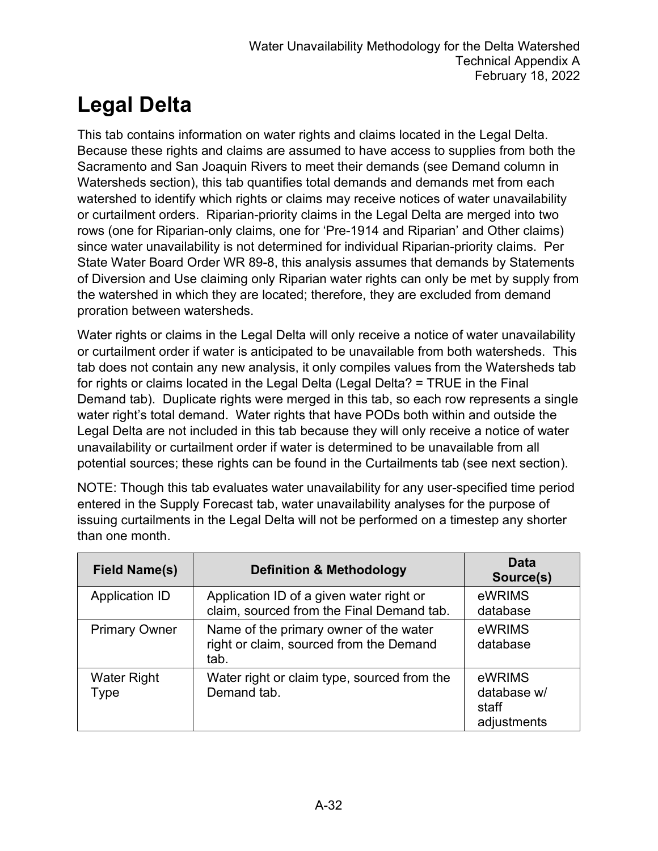## **Legal Delta**

This tab contains information on water rights and claims located in the Legal Delta. Because these rights and claims are assumed to have access to supplies from both the Sacramento and San Joaquin Rivers to meet their demands (see Demand column in Watersheds section), this tab quantifies total demands and demands met from each watershed to identify which rights or claims may receive notices of water unavailability or curtailment orders. Riparian-priority claims in the Legal Delta are merged into two rows (one for Riparian-only claims, one for 'Pre-1914 and Riparian' and Other claims) since water unavailability is not determined for individual Riparian-priority claims. Per State Water Board Order WR 89-8, this analysis assumes that demands by Statements of Diversion and Use claiming only Riparian water rights can only be met by supply from the watershed in which they are located; therefore, they are excluded from demand proration between watersheds.

Water rights or claims in the Legal Delta will only receive a notice of water unavailability or curtailment order if water is anticipated to be unavailable from both watersheds. This tab does not contain any new analysis, it only compiles values from the Watersheds tab for rights or claims located in the Legal Delta (Legal Delta? = TRUE in the Final Demand tab). Duplicate rights were merged in this tab, so each row represents a single water right's total demand. Water rights that have PODs both within and outside the Legal Delta are not included in this tab because they will only receive a notice of water unavailability or curtailment order if water is determined to be unavailable from all potential sources; these rights can be found in the Curtailments tab (see next section).

NOTE: Though this tab evaluates water unavailability for any user-specified time period entered in the Supply Forecast tab, water unavailability analyses for the purpose of issuing curtailments in the Legal Delta will not be performed on a timestep any shorter than one month.

| <b>Field Name(s)</b>       | <b>Definition &amp; Methodology</b>                                                       | <b>Data</b><br>Source(s)                      |
|----------------------------|-------------------------------------------------------------------------------------------|-----------------------------------------------|
| <b>Application ID</b>      | Application ID of a given water right or<br>claim, sourced from the Final Demand tab.     | eWRIMS<br>database                            |
| <b>Primary Owner</b>       | Name of the primary owner of the water<br>right or claim, sourced from the Demand<br>tab. | eWRIMS<br>database                            |
| <b>Water Right</b><br>Type | Water right or claim type, sourced from the<br>Demand tab.                                | eWRIMS<br>database w/<br>staff<br>adjustments |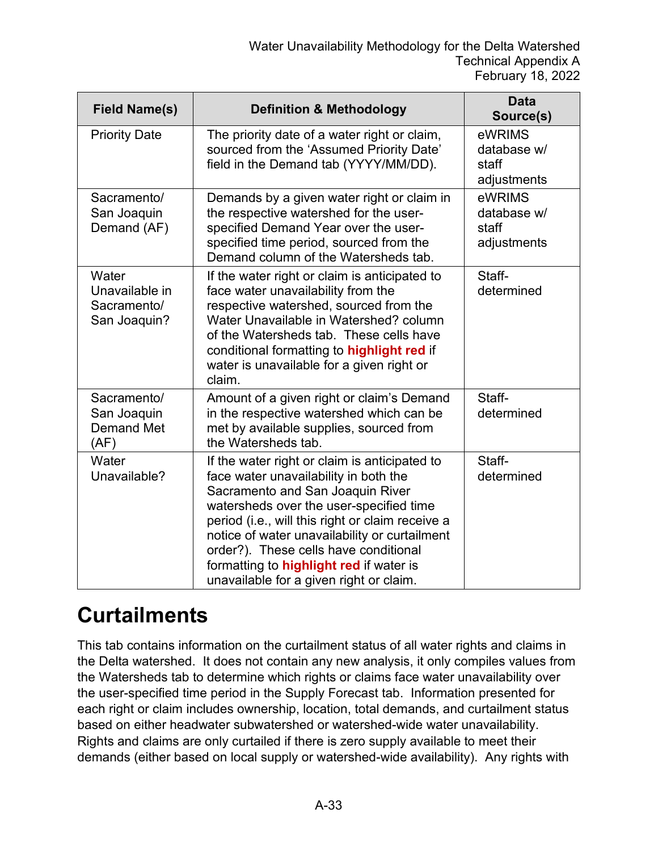| <b>Field Name(s)</b>                                    | <b>Definition &amp; Methodology</b>                                                                                                                                                                                                                                                                                                                                                                              | <b>Data</b><br>Source(s)                      |
|---------------------------------------------------------|------------------------------------------------------------------------------------------------------------------------------------------------------------------------------------------------------------------------------------------------------------------------------------------------------------------------------------------------------------------------------------------------------------------|-----------------------------------------------|
| <b>Priority Date</b>                                    | The priority date of a water right or claim,<br>sourced from the 'Assumed Priority Date'<br>field in the Demand tab (YYYY/MM/DD).                                                                                                                                                                                                                                                                                | eWRIMS<br>database w/<br>staff<br>adjustments |
| Sacramento/<br>San Joaquin<br>Demand (AF)               | Demands by a given water right or claim in<br>the respective watershed for the user-<br>specified Demand Year over the user-<br>specified time period, sourced from the<br>Demand column of the Watersheds tab.                                                                                                                                                                                                  | eWRIMS<br>database w/<br>staff<br>adjustments |
| Water<br>Unavailable in<br>Sacramento/<br>San Joaquin?  | If the water right or claim is anticipated to<br>face water unavailability from the<br>respective watershed, sourced from the<br>Water Unavailable in Watershed? column<br>of the Watersheds tab. These cells have<br>conditional formatting to highlight red if<br>water is unavailable for a given right or<br>claim.                                                                                          | Staff-<br>determined                          |
| Sacramento/<br>San Joaquin<br><b>Demand Met</b><br>(AF) | Amount of a given right or claim's Demand<br>in the respective watershed which can be<br>met by available supplies, sourced from<br>the Watersheds tab.                                                                                                                                                                                                                                                          | Staff-<br>determined                          |
| Water<br>Unavailable?                                   | If the water right or claim is anticipated to<br>face water unavailability in both the<br>Sacramento and San Joaquin River<br>watersheds over the user-specified time<br>period (i.e., will this right or claim receive a<br>notice of water unavailability or curtailment<br>order?). These cells have conditional<br>formatting to <b>highlight red</b> if water is<br>unavailable for a given right or claim. | Staff-<br>determined                          |

#### **Curtailments**

This tab contains information on the curtailment status of all water rights and claims in the Delta watershed. It does not contain any new analysis, it only compiles values from the Watersheds tab to determine which rights or claims face water unavailability over the user-specified time period in the Supply Forecast tab. Information presented for each right or claim includes ownership, location, total demands, and curtailment status based on either headwater subwatershed or watershed-wide water unavailability. Rights and claims are only curtailed if there is zero supply available to meet their demands (either based on local supply or watershed-wide availability). Any rights with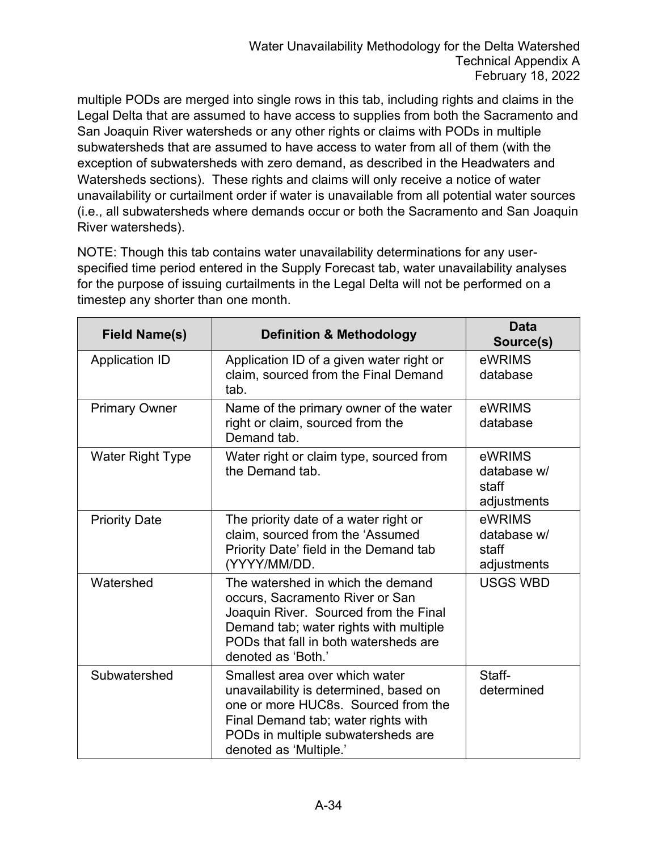multiple PODs are merged into single rows in this tab, including rights and claims in the Legal Delta that are assumed to have access to supplies from both the Sacramento and San Joaquin River watersheds or any other rights or claims with PODs in multiple subwatersheds that are assumed to have access to water from all of them (with the exception of subwatersheds with zero demand, as described in the Headwaters and Watersheds sections). These rights and claims will only receive a notice of water unavailability or curtailment order if water is unavailable from all potential water sources (i.e., all subwatersheds where demands occur or both the Sacramento and San Joaquin River watersheds).

NOTE: Though this tab contains water unavailability determinations for any userspecified time period entered in the Supply Forecast tab, water unavailability analyses for the purpose of issuing curtailments in the Legal Delta will not be performed on a timestep any shorter than one month.

| <b>Field Name(s)</b>    | <b>Definition &amp; Methodology</b>                                                                                                                                                                                    | <b>Data</b><br>Source(s)                      |
|-------------------------|------------------------------------------------------------------------------------------------------------------------------------------------------------------------------------------------------------------------|-----------------------------------------------|
| <b>Application ID</b>   | Application ID of a given water right or<br>claim, sourced from the Final Demand<br>tab.                                                                                                                               | eWRIMS<br>database                            |
| <b>Primary Owner</b>    | Name of the primary owner of the water<br>right or claim, sourced from the<br>Demand tab.                                                                                                                              | eWRIMS<br>database                            |
| <b>Water Right Type</b> | Water right or claim type, sourced from<br>the Demand tab.                                                                                                                                                             | eWRIMS<br>database w/<br>staff<br>adjustments |
| <b>Priority Date</b>    | The priority date of a water right or<br>claim, sourced from the 'Assumed<br>Priority Date' field in the Demand tab<br>(YYYY/MM/DD.                                                                                    | eWRIMS<br>database w/<br>staff<br>adjustments |
| Watershed               | The watershed in which the demand<br>occurs, Sacramento River or San<br>Joaquin River. Sourced from the Final<br>Demand tab; water rights with multiple<br>PODs that fall in both watersheds are<br>denoted as 'Both.' | <b>USGS WBD</b>                               |
| Subwatershed            | Smallest area over which water<br>unavailability is determined, based on<br>one or more HUC8s. Sourced from the<br>Final Demand tab; water rights with<br>PODs in multiple subwatersheds are<br>denoted as 'Multiple.' | Staff-<br>determined                          |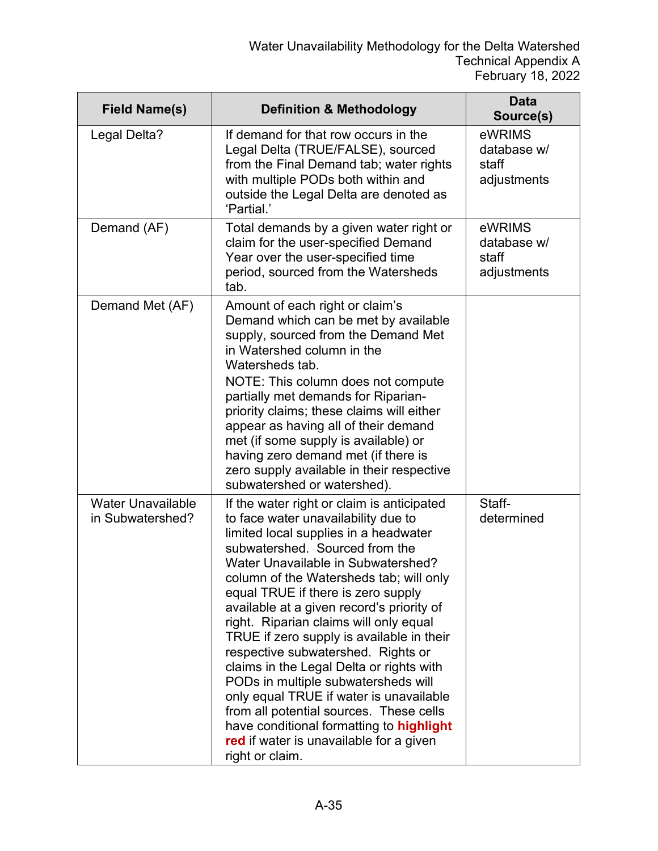| <b>Field Name(s)</b>                         | <b>Definition &amp; Methodology</b>                                                                                                                                                                                                                                                                                                                                                                                                                                                                                                                                                                                                                                                                                                              | <b>Data</b><br>Source(s)                      |
|----------------------------------------------|--------------------------------------------------------------------------------------------------------------------------------------------------------------------------------------------------------------------------------------------------------------------------------------------------------------------------------------------------------------------------------------------------------------------------------------------------------------------------------------------------------------------------------------------------------------------------------------------------------------------------------------------------------------------------------------------------------------------------------------------------|-----------------------------------------------|
| Legal Delta?                                 | If demand for that row occurs in the<br>Legal Delta (TRUE/FALSE), sourced<br>from the Final Demand tab; water rights<br>with multiple PODs both within and<br>outside the Legal Delta are denoted as<br>'Partial.'                                                                                                                                                                                                                                                                                                                                                                                                                                                                                                                               | eWRIMS<br>database w/<br>staff<br>adjustments |
| Demand (AF)                                  | Total demands by a given water right or<br>claim for the user-specified Demand<br>Year over the user-specified time<br>period, sourced from the Watersheds<br>tab.                                                                                                                                                                                                                                                                                                                                                                                                                                                                                                                                                                               | eWRIMS<br>database w/<br>staff<br>adjustments |
| Demand Met (AF)                              | Amount of each right or claim's<br>Demand which can be met by available<br>supply, sourced from the Demand Met<br>in Watershed column in the<br>Watersheds tab.<br>NOTE: This column does not compute<br>partially met demands for Riparian-<br>priority claims; these claims will either<br>appear as having all of their demand<br>met (if some supply is available) or<br>having zero demand met (if there is<br>zero supply available in their respective<br>subwatershed or watershed).                                                                                                                                                                                                                                                     |                                               |
| <b>Water Unavailable</b><br>in Subwatershed? | If the water right or claim is anticipated<br>to face water unavailability due to<br>limited local supplies in a headwater<br>subwatershed. Sourced from the<br>Water Unavailable in Subwatershed?<br>column of the Watersheds tab; will only<br>equal TRUE if there is zero supply<br>available at a given record's priority of<br>right. Riparian claims will only equal<br>TRUE if zero supply is available in their<br>respective subwatershed. Rights or<br>claims in the Legal Delta or rights with<br>PODs in multiple subwatersheds will<br>only equal TRUE if water is unavailable<br>from all potential sources. These cells<br>have conditional formatting to highlight<br>red if water is unavailable for a given<br>right or claim. | Staff-<br>determined                          |